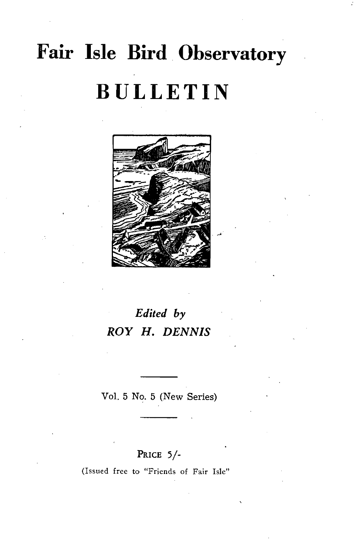## **Fair Isle Bird Observatory BULLETIN**



## *Edited by ROY H. DENNIS*

Vol. 5 No. 5 (New Series)

## PRICE 5/-

(Issued free to "Friends of Fair Isle"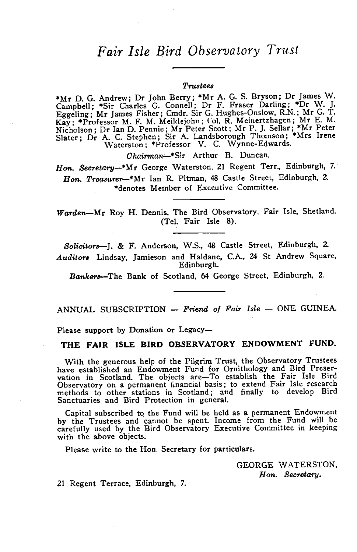## *Fair Isle Bird Observatory Trust*

#### *T'I'U8tee8*

\*Mr D. G. Andrew; Dr John Berry; \*Mr A. G. S. Bryson; Dr James W. Campbell; \*Sir Charles G. Connell; Dr F. Fraser Darling; \*Dr W. J. Eggeling; Mr James Fisher; Cmdr. Sir G. Hughes-Onslow, R.N.; Mr G. T. Kay; \*Professor M. F. M. Meiklejohn; Col. R Meinertzhagen; Mr E. M. Nicholson; Dr Ian D. Pennie; Mr Peter Scott; Mr P. ]. Sellar; \*Mr Peter Slater; Dr A. C. Stephen; Sir A. Landsborough Thomson; \*Mrs Irene Waterston; \*Professor V. C. Wynne-Edwards.

Ohairma~\*Sir Arthur B. Duncan.

*Hon. Secretary-\*Mr* George Waterston, 21 Regent Terr., Edinburgh, 7. Hon. Treasurer-\*Mr Ian R. Pitman, 48 Castle Street, Edinburgh, 2. ·denotes Member of Executive Committee.

*Warden--Mr* Roy H. Dennis. The Bird Observatory. Fair Isle. Shetland. (Tel. Fair Isle 8).

*Solicitors-J.* & F. Anderson, W.S., 48 Castle Street, Edinburgh, 2. Auditors Lindsay, Jamieson and Haldane, C.A., 24 St Andrew Square, Edinburgh.

*Banker8-The* Bank of Scotland. 64 George Street, Edinburgh. 2.

ANNUAL SUBSCRIPTION - *Friend of Fair Isle* - ONE GUINEA.

Please support by Donation or Legacy-

THE FAIR ISLE BIRD OBSERVATORY ENDOWMENT FUND.

With the generous help of the Pilgrim Trust, the Observatory Trustees have established an Endowment Fund for Ornithology and Bird Preservation in Scotland. The objects are-To establish the Fair Isle Bird Observatory on a permanent financial basis; to extend Fair Isle research methods to other stations in Scotland; and finally to develop Bird Sanctuaries and Bird Protection in general.

Capital subscribed to. the Fund will be held as a permanent Endowment by the Trustees and cannot be spent. Income from the Fund will be carefully used by the Bird Observatory Executive Committee in keeping with the above objects.

Please write to the Hon. Secretary for particulars.

GEORGE WATERSTON. Hon. *Secretary.* 

21 Regent Terrace, Edinburgh, 7.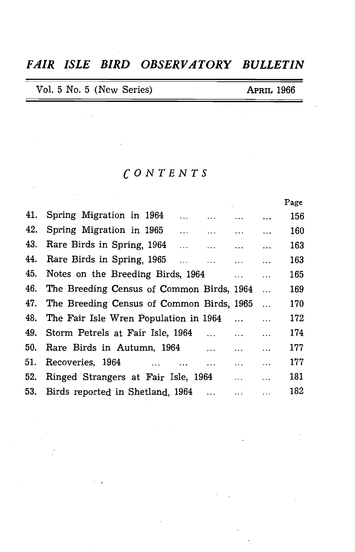## *FAIR ISLE BIRD OBSERVATORY BULLETIN*

|  | Vol. 5 No. 5 (New Series) | <b>APRIL 1966</b> |
|--|---------------------------|-------------------|
|--|---------------------------|-------------------|

 $\sim 10^{11}$  km s  $^{-1}$ 

 $\sim 10^{-1}$ 

 $\sim 10^7$ 

## *CONTENTS*

|                                                                                               |                                                           |                                                                                                                                              | Page                                                    |
|-----------------------------------------------------------------------------------------------|-----------------------------------------------------------|----------------------------------------------------------------------------------------------------------------------------------------------|---------------------------------------------------------|
| 41.<br>Spring Migration in 1964<br>.                                                          |                                                           |                                                                                                                                              | 156                                                     |
| Spring Migration in 1965<br>$\cdots$                                                          |                                                           |                                                                                                                                              | 160                                                     |
| Rare Birds in Spring, 1964<br>$\ddot{\phantom{a}}$<br>$\mathcal{L} = \mathcal{L} \mathcal{L}$ | $\ddotsc$                                                 | $\ddotsc$                                                                                                                                    | 163                                                     |
| Rare Birds in Spring, 1965<br>$\ddotsc$                                                       | $\mathbf{r}$ , $\mathbf{r}$ , $\mathbf{r}$ , $\mathbf{r}$ | $\ddotsc$                                                                                                                                    | 163                                                     |
| Notes on the Breeding Birds, 1964                                                             | $\ddotsc$                                                 | $\ddotsc$                                                                                                                                    | 165                                                     |
|                                                                                               |                                                           | $\dddotsc$                                                                                                                                   | 169                                                     |
|                                                                                               |                                                           | $\ddotsc$                                                                                                                                    | 170                                                     |
| The Fair Isle Wren Population in 1964                                                         |                                                           | $\ddotsc$                                                                                                                                    | 172                                                     |
| Storm Petrels at Fair Isle, 1964<br>$\ddotsc$                                                 | $\cdots$                                                  | $\ddotsc$                                                                                                                                    | 174                                                     |
| Rare Birds in Autumn, 1964<br>$\cdots$                                                        | $\ddotsc$                                                 | $\ddotsc$                                                                                                                                    | 177                                                     |
| $\text{Reoveries}, 1964 \qquad \dots$<br>$\cdots$                                             | $\cdots$                                                  | $\cdots$                                                                                                                                     | 177                                                     |
| Ringed Strangers at Fair Isle, 1964                                                           | $\cdots$                                                  | $\ddotsc$                                                                                                                                    | 181                                                     |
| Birds reported in Shetland, 1964                                                              | 222000                                                    | $\cdots$                                                                                                                                     | 182                                                     |
|                                                                                               |                                                           | <b>Address Contract</b><br><b>Search Committee</b><br>The Breeding Census of Common Birds, 1964<br>The Breeding Census of Common Birds, 1965 | $\cdots$ $\cdots$<br>$\sim$ $\sim$ $\sim$ $\sim$ $\sim$ |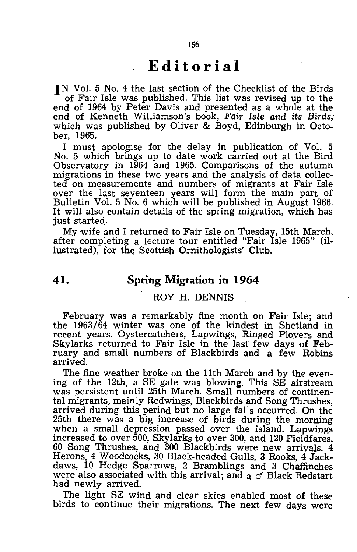## **Editorial**

IN Vol. 5 No. 4 the last section of the Checklist of the Birds of Fair Isle was published. This list was revised up to the end of 1964 by Peter Davis and presented as a whole at the end of Kenneth Williamson's book, *Fair Isle and its Birds;*  which was published by Oliver & Boyd, Edinburgh in October, 1965.

I must apologise for the delay in publication of Vo!. 5 No. 5 which brings up to date work carried out at the Bird Observatory in 1964 and 1965. Comparisons of the autumn migrations in these two years and the analysis of data collected on measurements and numbers of migrants at Fair Isle over the last seventeen years will form the main part of Bulletin Vo!. 5 No. 6 which will be published in August 1966. It will also contain details of the spring migration, which has just started.

My wife and I returned to Fair Isle on Tuesday, 15th March, after completing a lecture tour entitled "Fair Isle 1965" (illustrated), for the Scottish Ornithologists' Club.

## **41. Spring Migration in 1964**

#### ROY H. DENNIS

February was a remarkably fine month on Fair Isle; and the 1963/64 winter was one of the kindest in Shetland in recent years. Oystercatchers, Lapwings, Ringed Plovers and Skylarks returned to Fair Isle in the last few days of February and small numbers of Blackbirds and a few Robins arrived.

The fine weather broke on the 11th March and by the evening of the 12th, a SE gale was blowing. This SE airstream was persistent until 25th March. Small numbers of continental migrants, mainly Redwings, Blackbirds and Song Thrushes, arrived during this period but no large falls occurred. On the 25th there was a big increase of birds during the morning when a small depression passed over the island. Lapwings increased to over 500, Skylarks to over 300, and 120 Fieldfares, 60 Song Thrushes, and 300 Blackbirds were new arrivals. 4 Herons, 4 Woodcocks, 30 Black-headed Gulls, 3 Rooks, 4 Jackdaws, 10 Hedge Sparrows, 2 Bramblings and 3 Chaffinches were also associated with this arrival; and a  $\sigma$  Black Redstart had newly arrived.

The light SE wind and clear skies enabled most of these birds to continue their migrations. The next few days were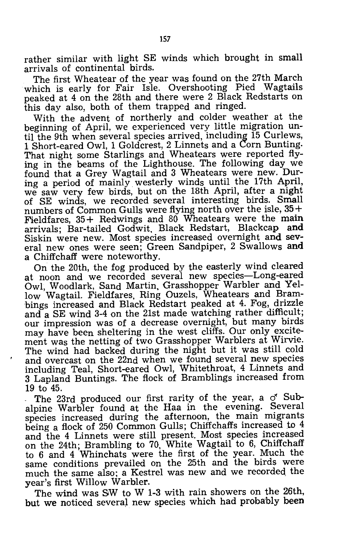rather similar with light SE winds which brought in small arrivals of continental birds.

The first Wheatear of the year was found on the 27th March which is early for Fair Isle. Overshooting Pied Wagtails peaked at 4 on the 28th and there were 2 Black Redstarts on this day also, both of them trapped and ringed.

With the advent of northerly and colder weather at the beginning of April, we experienced very little migration until the 9th when several species arrived, including 15 Curlews, 1 Short-eared Owl, 1 Goldcrest, 2 Linnets and a Corn Bunting. That night some Starlings and Wheatears were reported flying in the beams of the Lighthouse. The following day we found that a Grey Wagtail and 3 Wheatears were new. During a period of mainly westerly winds until the 17th April, we saw very few birds, but on the 18th April, after a night of SE winds, we recorded several interesting birds. Small numbers of Common Gulls were flying north over the isle,  $35 +$ Fieldfares, 35+ Redwings and 80 Wheatears were the main arrivals; Bar-tailed Godwit, Black Redstart, Blackcap and Siskin were new. Most species increased overnight and several new ones were seen; Green Sandpiper, 2 Swallows and a Chiffchaff were noteworthy.

On the 20th, the fog produced by the easterly wind cleared at noon and we recorded several new species-Long-eared Owl, Woodlark, Sand Martin, Grasshopper Warbler and Yellow Wagtail. Fieldfares, Ring Ouzels, Wheatears and Brambings increased and Black Redstart peaked at 4. Fog, drizzle and a SE wind 3-4 on the 21st made watching rather difficult; our impression was of a decrease overnight, but many birds may have been sheltering in the west cliffs. Our only excitement was the netting of two Grasshopper Warblers at Wirvie. The wind had backed during the night but it was still cold and overcast on the 22nd when we found several new species including Teal, Short-eared Owl, Whitethroat, 4 Linnets and 3 Lapland Buntings. The flock of Bramblings increased from 19 to 45.

The 23rd produced our first rarity of the year, a  $\sigma$  Subalpine Warbler found at the Haa in the evening. Several species increased during the afternoon, the main migrants being a flock of 250 Common Gulls; Chiffchaffs increased to 4 and the 4 Linnets were still present. Most species increased on the 24th; Brambling to 70, White Wagtail to 6, Chiffchaff to 6 and 4 Whinchats were the first of the year. Much the same conditions prevailed on the 25th and the birds were much the same also; a Kestrel was new and we recorded the year's first Willow Warbler.

The wind was SW to W 1-3 with rain showers on the 26th, but we noticed several new species which had probably been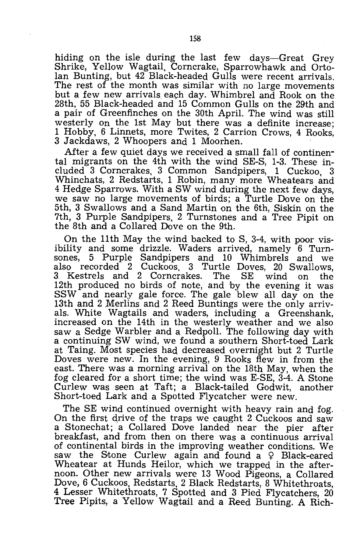hiding on the isle during the last few days-Great Grey Shrike, Yellow Wagtail, Corncrake, Sparrowhawk and Ortolan Bunting, but  $42$  Black-headed Gulls were recent arrivals. The rest of the month was similar with no large movements but a few new arrivals each day. Whimbrel and Rook on the 28th, 55 Black-headed and 15 Common Gulls on the 29th and a pair of Greenfinches on the 30th April. The wind was still westerly on the 1st May but there was a definite increase: 1 Hobby, 6 Linnets, more Twites, 2 Carrion Crows, 4 Rooks, 3 Jackdaws, 2 Whoopers and 1 Moorhen.

*Mter* a few quiet days we received a small fall of continental migrants on the 4th with the wind SE-S, 1-3. These included 3 Corncrakes, 3 Common Sandpipers, 1 Cuckoo, 3 Whinchats, 2 Redstarts, 1 Robin, many more Wheatears and 4 Hedge Sparrows. With a SW wind during the next few days, we saw no large movements of birds; a Turtle Dove on the 5th, 3 Swallows and a Sand Martin on the 6th, Siskin on the 7th, 3 Purple Sandpipers, 2 Turnstones and a Tree Pipit on the 8th and a Collared Dove on the 9th.

On the 11th May the wind backed to S, 3-4, with poor visibility and some drizzle. Waders arrived, namely 6 Turnsones, 5 Purple Sandpipers and 10 Whimbrels and we also recorded 2 Cuckoos, 3 Turtle Doves, 20 Swallows, 3 Kestrels and 2 Corncrakes. The SE wind on the 12th produced no birds of note, and by the evening it was SSW and nearly gale force. The gale blew all day on the 13th and 2 Merlins and 2 Reed Buntings were the only arrivals. White Wagtails and waders, including a Greenshank, increased on the 14th in the westerly weather and we also saw a Sedge Warbler and a Redpoll. The following day with a continuing SW wind, we found a southern Short-toed Lark at Taing. Most species had decreased overnight but 2 Turtle Doves were new. In the evening, 9 Rooks flew in from the east. There was a morning arrival on the 18th May, when the fog cleared for a short time; the wind was E-SE, 3-4. A Stone Curlew was seen at Taft; a Black-tailed Godwit, another Short-toed Lark and a Spotted Flycatcher were new.

The SE wind continued overnight with heavy rain and fog. On the first drive of the traps we caught 2 Cuckoos and saw a Stonechat; a Collared Dove landed near the pier after breakfast, and from then on there was a continuous arrival of continental birds in the improving weather conditions. We saw the Stone Curlew again and found a  $\varphi$  Black-eared Wheatear at Hunds Heilor, which we trapped in the afternoon. Other new arrivals were 13 Wood Pigeons, a Collared Dove, 6 Cuckoos, Redstarts, 2 Black Redstarts, 8 Whitethroats, 4 Lesser Whitethroats, 7 Spotted and 3 Pied Flycatchers, 20 Tree Pipits, a Yellow Wagtail and a Reed Bunting. A Rich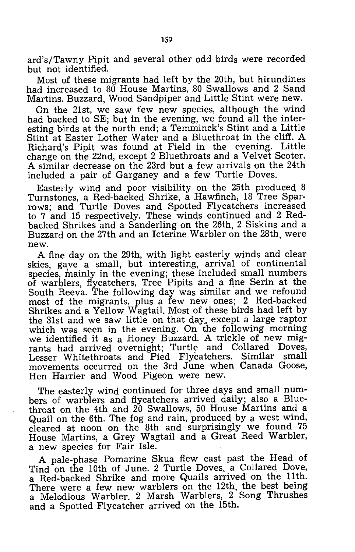ard's/Tawny Pipit and several other odd birds were recorded but not identified.

Most of these migrants had left by the 20th, but hirundines had increased to 80 House Martins, 80 Swallows and 2 Sand Martins. Buzzard, Wood Sandpiper and Little Stint were new.

On the 21st, we saw few new species, although the wind had backed to SE; but in the evening, we found all the interesting birds at the north end; a Temminck's Stint and a Little Stint at Easter Lother Water and a Bluethroat in the cliff. A Richard's Pipit was found at Field in the evening. Little change on the 22nd, except 2 Bluethroats and a Velvet Scoter. A similar decrease on the 23rd but a few arrivals on the 24th included a pair of Garganey and a few Turtle Doves.

Easterly wind and poor visibility on the 25th produced 8 Turnstones, a Red-backed Shrike, a Hawfinch, 18 Tree Sparrows; and Turtle Doves and Spotted Flycatchers increased to 7 and 15 respectively. These winds continued and 2 Redbacked Shrikes and a Sanderling on the 26th, 2 Siskins and a Buzzard on the 27th and an Icterine Warbler on the 28th, were new.

A fine day on the 29th, with light easterly winds and clear skies, *gaye* a small, but interesting, arrival of continental species, mainly in the evening; these included small numbers of warblers, flycatchers, Tree Pipits and a fine Serin at the South Reeva. The following day was similar and we refound most of the migrants, plus a few new ones; 2 Red-backed Shrikes and a Yellow Wagtail. Most of these birds had left by the 31st and we saw little on that day, except a large raptor which was seen in the evening. On the following morning we identified it as a Honey Buzzard. A trickle of new migrants had arrived overnight; Turtle and Collared Doves, Lesser White throats and Pied Flycatchers. Similar small movements occurred on the 3rd June when Canada Goose, Hen Harrier and Wood Pigeon were new.

The easterly wind continued for three days and small numbers of warblers and flycatchers arrived daily; also a Bluethroat on the 4th and 20 Swallows, 50 House Martins and a Quail on the 6th. The fog and rain, produced by a west wind, cleared at noon on the 8th and surprisingly we found 75 House Martins, a Grey Wagtail and a Great Reed Warbler, a new species for Fair Isle.

A pale-phase Pomarine Skua flew east past the Head of Tind on the 10th of June. 2 Turtle Doves, a Collared Dove, a Red-backed Shrike and more Quails arrived on the 11th. There were a few new warblers on the 12th, the best being a Melodious Warbler. 2 Marsh Warblers, 2 Song Thrushes and a Spotted Flycatcher arrived on the 15th.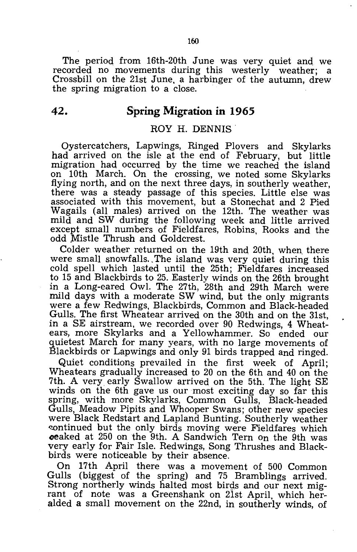The period from 16th-20th June was very quiet and we recorded no movements during this westerly weather; a Crossbill on the 21st June, a harbinger of the autumn, drew the spring migration to a close.

## **42. Spring Migration in 1965**

#### ROY H. DENNIS

Oystercatchers, Lapwings, Ringed Plovers and Skylarks had arrived on the isle at the end of February, but little migration had occurred by the time we reached the island on 10th March. On the crossing, we noted some Skylarks flying north, and on the next three days, in southerly weather, there was a steady passage of this species. Little else was associated with this movement, but a Stonechat and 2 Pied Wagails (all males) arrived on the 12th. The weather was mild and SW during the following week and little arrived except small numbers of Fieldfares, Robins, Rooks and the odd Mistle Thrush and Goldcrest.

Colder weather returned on the 19th and 20th, when there were small snowfalls., The island was very quiet during this cold spell which lasted until the 25th; Fieldfares increased to 15 and Blackbirds to 25. Easterly winds on the 26th brought in a Long-eared Owl. The 27th, 28th and 29th March were mild days with a moderate SW wind, but the only migrants were a few Redwings, Blackbirds, Common and Black-headed Gulls. The first Wheatear arrived on the 30th and on the 31st, in a SE airstream, we recorded over 90 Redwings, 4 Wheatears, more Skylarks and a Yellowhammer. So ended our quietest March for many years, with no large movements of Blackbirds or Lapwings and only 91 birds trapped and ringed.

Quiet conditions prevailed in the first week of April; Wheatears gradually increased to 20 on the 6th and 40 on the 7th. A very early Swallow arrived on the 5th. The light SE winds on the 6th gave us our most exciting day so far this spring, with more Skylarks, Common Gulls, Black-headed Gulls, Meadow Pipits and Whooper Swans; other new species were Black Redstart and Lapland Bunting. Southerly weather continued but the only birds moving were Fieldfares which **oeaked at 250 on the 9th. A Sandwich Tern on the 9th was** very early for Fair Isle. Redwings, Song Thrushes and Blackbirds were noticeable by their absence.

On 17th April there was a movement of 500 Common Gulls (biggest of the spring) and 75 Bramblings arrived. Strong northerly winds halted most birds and our next migrant of note was a Greenshank on 21st April, which heralded a small movement on the 22nd, in southerly winds, of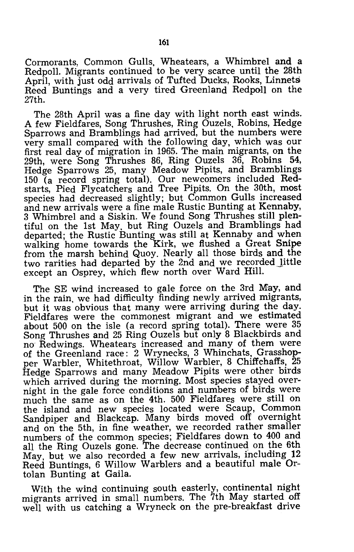Cormorants, Common Gulls, Wheatears, a Whimbrel and a Redpoll. Migrants continued to be very scarce until the 28th April, with just odd arrivals of Tufted Ducks, Rooks, Linnets Reed Buntings and a very tired Greenland Redpoll on the 27th.

The 28th April was a fine day with light north east winds. A few Fieldfares, Song Thrushes, Ring Ouzels, Robins, Hedge Sparrows and Bramblings had arrived, but the numbers were very small compared with the following day, which was our first real day of migration in 1965. The main migrants, on the 29th, were Song Thrushes 86, Ring Ouzels 36, Robins 54, Hedge Sparrows 25, many Meadow Pipits, and Bramblings 150 (a record spring total). Our newcomers included Redstarts, Pied Flycatchers and Tree Pipits. On the 30th, most species had decreased slightly; but Common Gulls increased and new arrivals were a fine male Rustic Bunting at Kennaby, 3 Whimbrel and a Siskin. We found Song Thrushes still plentiful on the 1st May, but Ring Ouzels and Bramblings had departed; the Rustic Bunting was still at Kennaby and when walking home towards the Kirk, we flushed a Great Snipe from the marsh behind Quoy. Nearly all those birds and the two rarities had departed by the 2nd and we recorded little except an Osprey, which flew north over Ward Hill.

The SE wind increased to gale force on the 3rd May, and in the rain, we had difficulty finding newly arrived migrants, but it was obvious that many were arriving during the day. Fieldfares were the commonest migrant and we estimated about 500 on the isle (a record spring total). There were 35 Song Thrushes and 25 Ring Ouzels but only 8 Blackbirds and no' Redwings. Wheatears increased and many of them were of the Greenland race: 2 Wrynecks, 3 Whinchats, Grasshopper Warbler, Whitethroat, Willow Warbler, 8 Chiffchaffs, 25 Hedge Sparrows and many Meadow Pipits were other birds which arrived during the morning. Most species stayed overnight in the gale force conditions and numbers of birds were much the same as on the 4th. 500 Fieldfares were still on the island and new species located were Scaup, Common Sandpiper and Blackcap. Many birds moved off overnight and on the 5th, in fine weather, we recorded rather smaller numbers of the common species; Fieldfares down to 400 and all the Ring Ouzels gone. The decrease continueq on the 6th May, but we also recorded a few new arrivals, including 12 Reed Buntings, 6 Willow Warblers and a beautiful male Ortolan Bunting at Gaila.

With the wind continuing south easterly, continental night migrants arrived in small numbers. The 7th May started off well with us catching a Wryneck on the pre-breakfast drive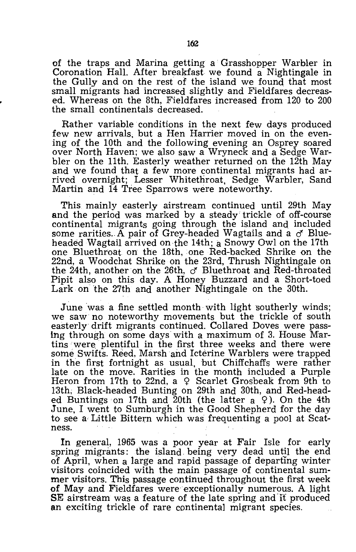of the traps and Marina getting a Grasshopper Warbler in Coronation Hall. After breakfast. we found a Nightingale in the Gully and on the rest of the island we found that most small migrants had increased slightly and Fieldfares decreased. Whereas on the 8th, Fieldfares increased from 120 to 200 the small continentals decreased.

Rather variable· conditions in the next few days produced few new arrivals, but a Hen Harrier moved in on the evening of the 10th and the following evening an Osprey soared over North Haven; we also saw a Wryneck and a Sedge Warbler On the 11th. Easterly weather returned on the 12th May and we found that a few more continental migrants had arrived overnight; Lesser Whitethroat, Sedge Warbler, Sand Martin and 14 Tree Sparrows were noteworthy.

This mainly easterly airstream continued until 29th May and the period was marked by a steady trickle of off-course continental migrants going through the island and included some rarities. A pair of Grey-headed Wagtails and a  $\sigma$  Blueheaded Wagtail arrived on the 14th; a Snowy Owl on the 17th one Bluethroat on the 18th, one Red-backed Shrike on the 22nd, a Woodchat Shrike on the 23rd, Thrush Nightingale on the 24th, another on the 26th,  $\sigma$  Bluethroat and Red-throated Pipit also on this day. A Honey Buzzard and a Short-toed Lark on the 27th and another Nightingale on the 30th.

June was a fine settled month with light southerly winds; we saw no noteworthy movements but the trickle of south easterly drift migrants continued. Collared Doves were passing through on some days with a maximum of 3. House Martins were plentiful in the first three weeks and there were some Swifts. Reed, Marsh and Icterine Warblers were trapped in the first fortnight as usual, but Chiffchaffs were rather late on the move. Rarities in the month included a Purple Heron from 17th to 22nd, a  $\varphi$  Scarlet Grosbeak from 9th to 13th; Black-headed Bunting on 29th and 30th, and Red-headed Buntings on 17th and 20th (the latter  $a \varphi$ ). On the 4th June, I went to Sumburgh in the Good Shepherd for the day to see a Little Bittern which was frequenting a pool at Scatness.

In general, 1965 was a poor year at Fair Isle for early spring migrants: the island. being very dead until the end of April, when a large and rapid passage of departing winter visitors coincided with the main passage of continental summer visitors. This passage continued throughout the first week of May and Fieldfares were exceptionally numerous. A light SE airstream was a feature of the late spring and it produced an exciting trickle of rare continental migrant species.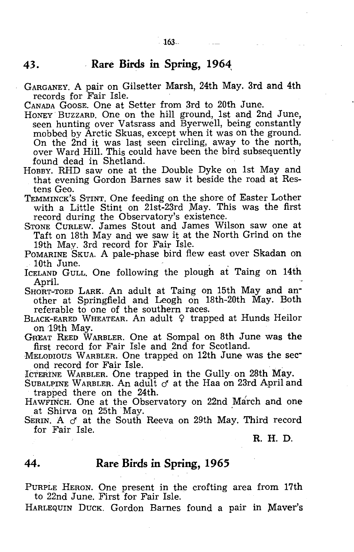## **43.** - **Rare Birds in Spring, 1964:**

GARGANEY. A pair on Gilsetter Marsh, 24th May. 3rd and 4th records for Fair Isle.

CANADA GOOSE. One at Setter from Srd to 20th June.

- HONEY BUZZARD. One on the hill ground, 1st and 2nd June, seen hunting over Vatsrass and Byerwell, being constantly mobbed by Arctic Skuas, except when it was on the ground. On the 2nd it was last seen circling, away to the north, over Ward Hill. This could have been the bird subsequently found dead in Shetland.
- HOBBY. RHD saw one at the Double Dyke on 1st May and that evening Gordon Barnes saw it beside the road at Restens Geo.
- TEMMINCK's STINT. One feeding on the shore of Easter Lother with a Little Stint on 21st-23rd May. This was the first record during the Observatory's existence.
- STONE CURLEW. James Stout and James Wilson saw one at Taft on 18th May and we saw it at the North Grind on the 19th May. 3rd record for Fair Isle.
- POMARINE SKUA. A pale-phase bird flew east over Skadan on

10th June.<br>ICELAND GULL. One following the plough at Taing on 14th April.

SHORT-TOED LARK. An adult at Taing on 15th May and another at Springfield and Leogh on 18th-20th May. Both referable to one of the southern races.

- BLACK-EARED WHEATEAR. An adult  $9$  trapped at Hunds Heilor on 19th May.
- GREAT REED WARBLER. One at Sompal on 8th June was the first record for Fair Isle and 2nd for Scotland.
- MELODIOUS WARBLER. One trapped on 12th June was the section of record for Fair Isle.

ICTERINE WARBLER. One trapped in the Gully on 28th May.

SUBALPINE WARBLER. An adult  $\sigma$  at the Haa on 23rd April and trapped there on the 24th.

HAWFrNCH. One at the Observatory on 22nd March and one at Shirva on 25th May.

SERIN. A  $\sigma$  at the South Reeva on 29th May. Third record for Fair Isle.

R. H. D.

## **44. Rare Birds in Spring, 1965**

PURPLE HERON. One present in the crofting area from 17th to 22nd June. First for Fair Isle.

HARLEQUIN DUCK. Gordon Barnes found a pair in Maver's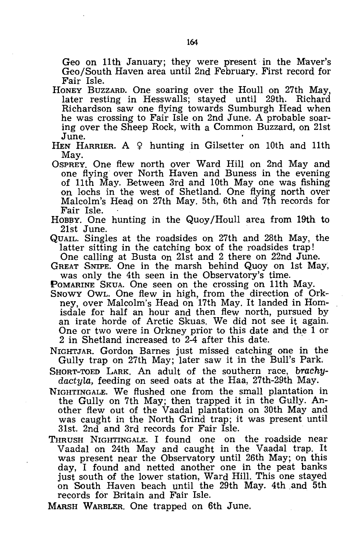Geo on 11th January; they were present in the Maver's Geo/South Haven area until 2nd February. First record for Fair Isle.

- HONEY BUZZARD. One soaring over the Houll on 27th May, later resting in Hesswalls; stayed until 29th. Richardson saw one flying towards Sumburgh Head when he was crossing to Fair Isle on 2nd June. A probable soaring over the Sheep Rock, with a Common Buzzard, on 21st June.
- HEN HARRIER. A  $9$  hunting in Gilsetter on 10th and 11th May.
- OSPREY. One flew north over Ward Hill on 2nd May and one flying over North Haven. and Buness in the evening of 11th May. Between 3rd and 10th May one was fishing on lochs in the west of Shetland. One flying north over Malcolm's Heag on 27th May. 5th, 6th and 7th records for Fair Isle.
- HOBBY. One hunting in the Quoy /Houll area from 19th to 21st June.
- QUAIL. Singles at the roadsides on 27th and 28th May, the latter sitting in the catching box of the roadsides trap!
	- One calling at Busta on 21st and 2 there on 22nd June.
- GREAT SNIPE. One in the marsh behind Quoy on 1st May; was only the 4th seen in the Observatory's time.
- POMARINE SKUA. One seen on the crossing on 11th May. SNOWY OWL. One flew in high, from the direction of Orkney, over Malcolm's Head on 17th May. It landed in Homisdale for half an hour and then flew north, pursued by an irate horde of Arctic Skuas. We did not see it again. One or two were in Orkney prior to this date and the 1 or 2 in Shetland increased to  $2\text{-}4$  after this date.
- NIGHTJAR. Gordon Barnes just missed catching one in the Gully trap on 27th May; later saw it in the Bull's Park.
- SHORT-TOED LARK. An adult of the southern race, *brachydactyla,* feeding on seed oats at the Haa, 27th-29th May.
- NIGHTINGALE. We flushed one from the small plantation in the Gully on 7th May; then trapped it in the Gully. Another flew out of the Vaadal plantation on 30th May and was caught in the North Grind trap; it was present until 31st. 2nd and 3rd records for Fair Isle.
- THRUSH NIGHTINGALE. I found one on the roadside near Vaadal on 24th May and caught in the Vaadal trap. It was present near the Observatory until 26th May; on this day, I found and netted another one in the peat banks just south of the lower station, Ward Hill. This one stayed on South Haven beach until the 29th May. 4th ,and 5th records for Britain and Fair Isle.
- MARSH WARBLER. One trapped on 6th June.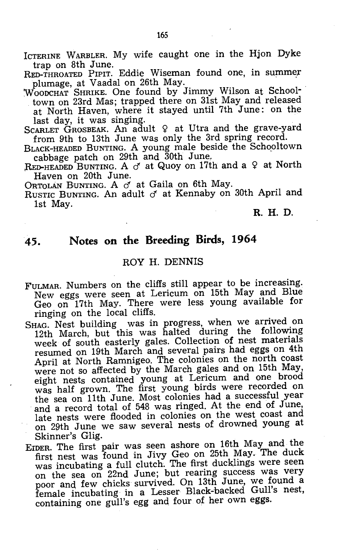ICTERINE WARBLER. My wife caught one in the Hjon Dyke trap on 8th June.

RED-THROATED PIPIT. Eddie Wiseman found one, in summer plumage, at Vaadal on 26th May.

WOODCHAT SHRIKE. One found by Jimmy Wilson at Schooltown on 23rd Mas; trapped there on 31st May and released at North Haven, where it stayed until 7th June: on the last day, it was singing.

SCARLET GROSBEAK. An adult  $9$  at Utra and the grave-yard from 9th to 13th June was only the 3rd spring record.

BLACK-HEADED BUNTING. A young male beside the Schooltown cabbage patch on  $29th$  and  $30th$  June.

RED-HEADED BUNTING. A  $\sigma$  at Quoy on 17th and a  $\varphi$  at North Haven on 20th June.

ORTOLAN BUNTING. A  $\sigma$  at Gaila on 6th May.

RUSTIC BUNTING. An adult  $\sigma$  at Kennaby on 30th April and 1st May.

#### R. H. D.

## **45. Notes on the Breeding Birds, <sup>1964</sup>**

## ROY H. DENNIS

- FULMAR. Numbers on the cliffs still appear to be increasing. New eggs were seen at Lericum on 15th May and Blue Geo on 17th May. There were less young available for ringing on the local cliffs.
- SHAG. Nest building was in progress, when we arrived on 12th March, but this was halted during the following week of south easterly gales. Collection of nest materials resumed on 19th March and several pairs had eggs on 4th April at North Ramnigeo. The colonies on the north coast were not so affected by the March gales and on 15th May, eight nests contained young at Lericum and one brood was half grown. The first young birds were recorded on the sea on 11th June. Most colonies had a successful year and a record total of 548 was ringed. At the end of June, late nests were flooded in colonies on the west coast and on 29th June we saw several nests of drowned young at Skinner's Glig.
- EIDER. The first pair was seen ashore on 16th May and the first nest was found in Jivy Geo on 25th May. The duck was incubating a full clutch. The first ducklings were seen on the sea on 22nd June; but rearing success was very poor and few chicks survived. On 13th June, we found <sup>a</sup> female incubating in a Lesser Black-backed Gull's nest, containing one gull's egg and four of her own eggs.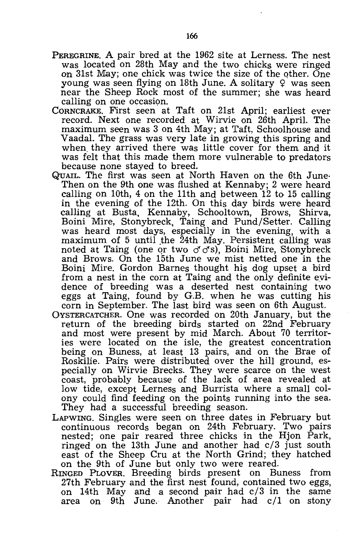- PEREGRINE. A pair bred at the 1962 site at Lerness. The nest was located on 28th May and the two chicks were ringed on 31st May; one chick was twice the size of the other. One young was seen flying on 18th June. A solitary  $\varphi$  was seen near the Sheep Rock most of the summer; she was heard calling on one occasion.
- CORNCRAKE. First seen at Taft on 21st April; earliest ever record. Next one recorded at Wirvie on 26th April. The maximum seen was 3 on 4th May; at Taft, Schoolhouse and Vaadal. The grass was very late in growing this spring and when, they arrived there was little cover for them and it was felt that this made them more vulnerable to predators because none stayed to breed.
- QUAIL. The first was seen at North Haven on the 6th June· Then on the 9th one was flushed at Kennaby; 2 were heard calling on 10th, 4 on the 11th and between 12 to 15 calling in the evening of the 12th. On this day birds were heard calling at Busta, Kennaby, Schooltown, Brows, Shirva, Boini Mire, Stonybreck, Taing and Pund/Setter. Calling was heard most days, especially in the evening, with a maximum of 5 until the 24th May. Persistent calling was noted at Taing (one or two  $\sigma$   $\sigma$ s), Boini Mire, Stonybreck and Brows. On the 15th June we mist netted one in the Boini Mire. Gordon Barnes thought his dog upset a bird from a nest in the corn at Taing and the only definite eyidence of breeding was a deserted nest containing two eggs at Taing, found by G.B. when he was cutting his corn in September. The last bird was seen on 6th August.
- OYSTERCATCHER. One was recorded on 20th January, but the return of the breeding birds started on 22nd February and most were present by mid March. About 70 territories were located on the isle, the greatest concentration being on Buness, at least 13 pairs, and on the Brae of Roskilie. Pairs were distributed over the hill ground, especially on Wirvie Brecks. They were scarce on the west coast, probably because of the lack of area revealed at low tide, except Lerness and Burrista where a small colony could find feeding on the points running into the sea. They had a successful breeding season.
- LAPWING. Singles were seen on three dates in February but continuous records began on 24th February. Two pairs nested; one pair reared three chicks in the Hjon Park, ringed on the 13th June and another had c/3 just south east of the Sheep Cru at the North Grind; they hatched on the 9th of June but only two were reared.
- RINGED PLOVER. Breeding birds present on Buness from 27th February and the first nest found, contained two eggs, on 14th May and a second pair had c/3 in the same area on 9th June. Another pair had c/1 on stony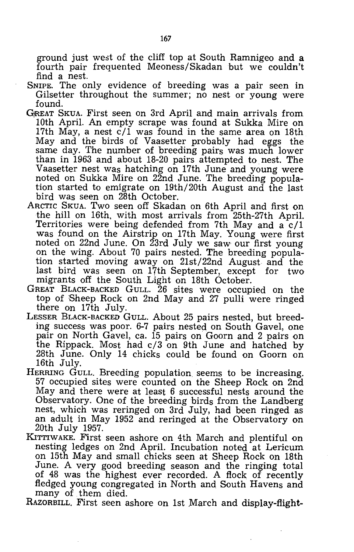ground just west of the cliff top at South Ramnigeo and a fourth pair frequented Meoness/Skadan but we couldn't find a nest.

- SNIPE. The only evidence of breeding was a pair seen in Gilsetter throughout the summer; no nest or young were found.
- GjREAT SKUA. First seen on 3rd April and main arrivals from 10th April. An empty scrape was found at Sukka Mire on 17th May, a nest  $c/1$  was found in the same area on 18th May and the birds of Vaasetter probably had eggs the same day. The number of breeding pairs was much lower than in 1963 and about 18-20 pairs attempted to nest. The Vaasetter nest was hatching on 17th June and young were noted on Sukka Mire on 22nd June. The breeding population started to emigrate on 19th/20th August and the last bird was seen on 28th October.
- ARCTIC SKUA. Two seen off Skadan on 6th April and first on the hill on 16th, with most arrivals from 25th-27th April. Territories were being defended from 7th May and  $a \cdot c/1$ was found on the Airstrip on 17th May. Young were first noted on 22nd June. On 23rd JUly we saw our first young on the wing. About 70 pairs nested. The breeding population started moving away on 21st/22nd August and the last bird was seen on 17th September, except for two migrants off the South Light on 18th October.
- GREAT BLACK-BACKED GULL. 26 sites were occupied on the top of Sheep Rock on 2nd May and 27 pulli were ringed there on 17th July.
- LESSER BLACK-BACKED GULL. About 25 pairs nested, but breeding success was poor. 6-7 pairs nested on South Gavel, one pair on North Gavel, ca. 15 pairs on Goorn and 2 pairs on the Rippack. Most had c/3 on 9th June and hatched by 28th June. Only 14 chicks could be found on Goorn on 16th July.
- HERRING GULL. Breeding population seems to be increasing. 57 occupied sites were counted on the Sheep Rock on 2nd May and there were at least 6 successful nests around the Observatory. One of the breeding birds from the Landberg nest, which was reringed on 3rd July, had been ringed as an adult in May 1952 and reringed at the Observatory on 20th JUly 1957.
- KITTIWAKE. First seen ashore on 4th March and plentiful on nesting ledges on 2nd April. Incubation noted at Lericum on 15th May and small chicks seen at Sheep Rock on 18th June. A very good breeding season and the ringing total of 48 was the highest ever recorded. A flock of recently fledged young congregated in North and South Havens and many of them died.
- RAZORBILL. First seen ashore on 1st March and display-flight-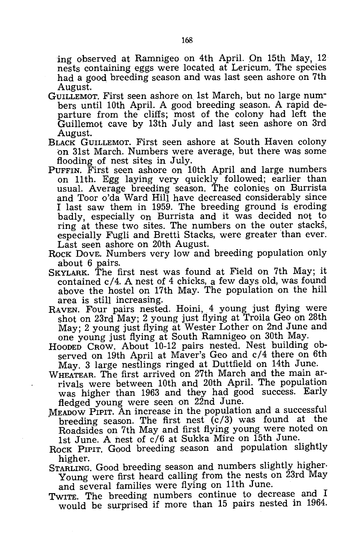ing observed at Ramnigeo on 4th April. On 15th May, 12 nests containing eggs were located at Lericum. The species had a good, breeding season and was last seen ashore on 7th August.

- GUILLEMOT. First seen ashore on 1st March, but no large numbers until 10th April. A good breeding season. A rapid departure from the cliffs; most of the colony had left the Guillemot cave by 13th July and last seen ashore on 3rd August.
- BLACK GUILLEMOT. First seen ashore at South Haven colony on 31st March. Numbers were average, but there was some flooding of nest sites in July.
- PUFFIN. First seen ashore on 10th April and large numbers on 11th. Egg laying very quickly followed; earlier than usual. Average breeding season. The colonies on Burrista and Toor o'da Ward Hill have decreased considerably since I last saw them in 1959. The breeding ground is eroding badly, especially on Burrista and it was decided not to ring at these two sites. The numbers on the outer stacks, especially Fugli and Bretti Stacks, were greater than ever. Last seen ashore on 20th August.
- ROCK DOVE. Numbers very low and breeding population only about 6 pairs.
- SKYLARK. The first nest was found at Field on 7th May; it contained *c/4.* A nest of 4 chicks, a few days old, was found above the hostel on 17th May. The population on the hill area is still increasing.
- RAVEN. Four pairs nested. Hoini, 4 young just flying were shot on 23rd May; 2 young just flying at Troila Geo on 28th May; 2 young just flying at Wester Lother on 2nd June and one young just flying at South Ramnigeo on 30th May.
- HOODED CROW. About 10-12 pairs nested. Nest building observed on 19th April at Maver's Geo and *c/4* there on 6th May. 3 large nestlings ringed at Duttfield on 14th June.
- WHEATEAR. The first arrived on 27th March and the main arrivals were between 10th and 20th April. The population was higher than 1963 and they had good success. Early
- fledged young were seen on 22nd June.<br>MEADOW PIPIT. An increase in the population and a successful breeding season. The first nest  $(c/3)$  was found at the Roadsides on 7th May and first flying young were noted on 1st June. A nest of *c/6* at Sukka Mire on 15th June.
- ROCK PIPIT. Good breeding season and population slightly
- higher. STARLING. Good breeding season and numbers slightly higher. Young were first heard calling from the nests on 23rd May and several families were flying on 11th June.
- TWITE. The breeding numbers continue to decrease and I would be surprised if more than 15 pairs nested in 1964.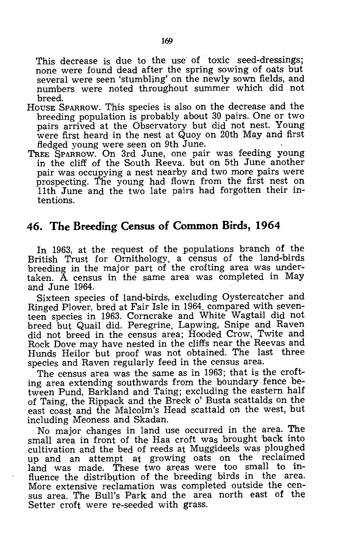This decrease is due to the use of toxic seed-dressings: none were found dead after the spring sowing of oats but several were seen 'stumbling' on the newly sown fields, and numhers were noted throughout summer which did not breed.

- HOUSE SPARROW. This species is also on the decrease and the breeding population is probably about 30 pairs. One or two pairs arrived at the Observatory but did not nest. Young were first heard in the nest at Quoy on 20th May and first fledged young were seen on 9th June.
- TREE SPARROW. On 3rd June, one pair was feeding young in the cliff of the South Reeva. but on 5th June another pair was occupying a nest nearby and two more pairs were prospecting. The young had flown from the first nest on 11th June and the two late pairs had forgotten their intentions.

## **46. The Breeding Census of Common Birds, 1964**

In 1963, at the request of the populations branch of the British Trust for Ornithology, a census of the land-hirds breeding in the major part of the crofting area was undertaken. A census in the same area was completed in May and June 1964.

Sixteen species of land-birds, excluding Oystercatcher and Ringed Plover, bred at Fair Isle in 1964. compared with seventeen species in 1963. Corncrake and White Wagtail did not breed but Quail did. Peregrine, Lapwing, Snipe and Raven did not breed in the census area; Hooded Crow, Twite and Rock Dove may have nested in the cliffs near the Reevas and Hunds Heilor but proof was not obtained. The last three species and Raven regularly feed in the census area.

The census area was the same as in 1963; that is the crofting area extending southwards from the boundary fence between Pund, Barkland and Taing; excluding the eastern half of Taing, the Rippack and the Breck 0' Busta scattalds on the east coast and the Malcolm's Head scattald on the west, but including Meoness and Skadan.

No major changes in land use occurred in the area. The small area in front of the Haa croft was brought 'back into cultivation and the bed of reeds at Muggideels was ploughed up and an attempt at growing oats on the reclaimed land was made. These two areas were too small to influence the distribution of the breeding birds in the area. More extensive reclamation was completed outside the census area. The Bull's Park and the area north east of the Setter croft were re-seeded with grass.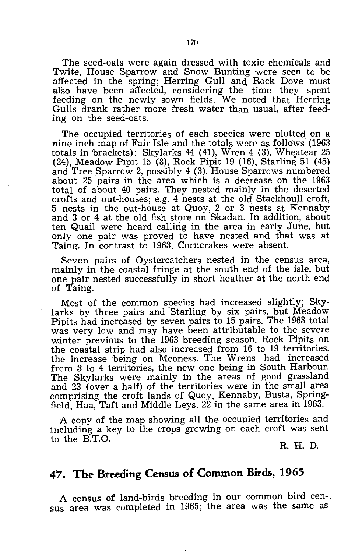The seed-oats were again dressed with toxic chemicals and Twite, House Sparrow and Snow Bunting were seen to be affected in the spring; Herring Gull and Rock Dove must also have been affected, considering the time they spent feeding on the newly sown fields. We noted that Herring Gulls drank rather more fresh water than usual, after feeding on the seed-oats.

The occupied territories of each species were plotted on a nine inch map of Fair Isle and the totals were as follows  $(1963)$ totals in 'brackets): Skylarks 44 (41), Wren 4 (3), Wheatear 25 (24), Meadow Pipit 15 (8), Rock Pipit 19 (16), Starling 51 (45) and Tree Sparrow 2, possibly 4 (3). House Sparrows numbered about 25 pairs in the area which is a decrease on the 1963 total of about 40 pairs. They nested mainly in the deserted crofts and out-houses; e.g. 4 nests at the old Stackhoull croft, 5 nests in the out-house at Quoy, 2 or 3 nests at Kennaby and 3 or 4 at the old fish store on Skadan. In addition, about ten Quail were heard calling in the area in early June, but only one pair was proved to have nested and that was at Taing. In contrast to 1963, Corncrakes were absent.

Seven pairs of Oystercatchers nested in the census area, mainly in the coastal fringe at the south end of the isle, but one pair nested successfully in short heather at the north end of Taing.

Most of the common species had increased slightly; Skylarks by three pairs and Starling by six pairs, but Meadow Pipits had increased by seven pairs to 15 pairs. The 1963 total was very low and may have been attributable to the severe winter previous to the 1963 breeding season. Rock Pipits on the coastal strip had also increased from 16 to 19 territories, the increase being on Meoness. The Wrens had increased from 3 to 4 territories, the new one being in South Harbour. The Skylarks were mainly in the areas of good grassland and 23 (over a half) of the territories were in the small area comprising the croft lands of Quoy, Kennaby, Busta, Springfield, Haa, Taft and Middle Leys. 22 in the same area in 1963.

A copy of the map showing all the occupied territories and including a key to the crops growing on each croft was sent to the E.T.O.

R. H. D.

## **47. The Breeding Census of Common Birds, 1965**

A census of land-birds breeding in our common bird cen-. sus area was completed in 1965; the area was the same as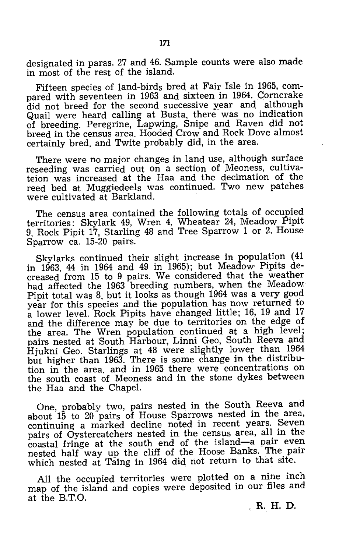designated in paras. 27 and 46. Sample counts were also made in most of the rest of the island.

Fifteen species of land-birds bred at Fair Isle in 1965, compared with seventeen in 1963 and sixteen in 1964. Corncrake did not breed for the second successive year and although Quail were heard calling at Busta, there was no indication of breeding. Peregrine, Lapwing, Snipe and Raven did not breed in the census area. Hooded Crow and Rock Dove almost certainly bred, and Twite probably did, in the area.

There were no major changes in land use, although surface reseeding was carried out on a section of Meoness, cultivateion was increased at the Haa and the decimation of the reed bed at Muggiedeels was continued. Two new patches were cultivated at Barkland.

The census area contained the following totals of occupied territories: Skylark 49, Wren 4, Wheatear 24, Meadow Pipit 9, Rock Pipit 17, Starling 48 and Tree Sparrow 1 or 2. House Sparrow ca. 15-20 pairs.

Skylarks continued their slight increase in population (41 in 1963, 44 in 1964 and 49 in 1965); but Meadow Pipits decreased from 15 to 9 pairs. We considered that the weather had affected the 1963 breeding numbers, when the Meadow Pipit total was 8, but it looks as though 1964 was a very good year for this species and the population has now returned to a lower level. Rock Pipits have changed little; 16, 19 and 17 and the difference may be due to territories on the edge of the area. The Wren population continued at a high level; pairs nested at South Harbour, Linni Geo, South Reeva and Hjukni Geo. Starlings at 48 were slightly lower than 1964 but higher than 1963. There is some change in the distribution in the area, and in 1965 there were concentrations on the south coast of Meoness and in the stone dykes between the Haa and the Chapel.

One, probably two, pairs nested in the South Reeva and about 15 to 20 pairs of House Sparrows nested in the area, continuing a marked decline noted in recent years. Seven pairs of Oystercatchers nested in the census area, all in the coastal fringe at the south end of the island-a pair even nested half way up the cliff of the Hoose Banks. The pair which nested at Taing in 1964 did not return to that site.

All the occupied territories were plotted on a nine inch map of the island and copies were deposited in our files and at the B.T.O.

R. H. D,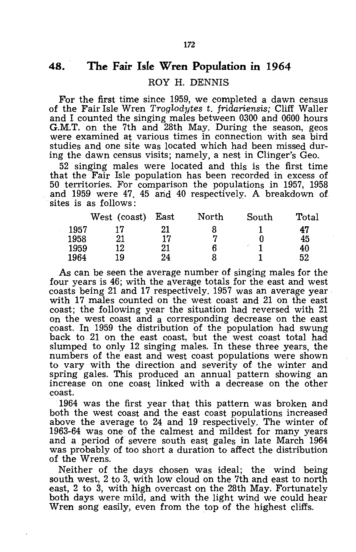## **48. The Fair Isle Wren Population in 1964**

#### ROY H. DENNIS

For the first time since 1959, we completed a dawn census of the Fair Isle Wren *Troglodytes* t. *fridariensis;* Cliff WaIler and I counted the singing males between 0300 and 0600 hours G.M.T. on the 7th and 28th May. During the season, geos were examined at various times in connection with sea bird studies and one site was located which had been missed during the dawn census visits; namely, a nest in Clinger's Geo.

52 singing males were located and this is the first time that the Fair Isle population has been recorded in excess of 50 territories. For comparison the populations in 1957, 1958 and 1959 were 47, 45 and 40 respectively. A breakdown of sites is as follows:

| West (coast) | East | North | South | Total |
|--------------|------|-------|-------|-------|
|              | 21   |       |       | 47    |
| 21           | 17   |       |       | 45    |
| 12           | 21   |       |       | 40    |
| 19           | 24   |       |       | 52    |
|              |      |       |       |       |

As can be seen the average number of singing males for the four years is 46; with the average totals for the east and west coasts being 21 and 17 respectively. 1957 was an average year with 17 males counted on the west coast and 21 on the east coast; the following year the situation had reversed with 21 on the west coast and a corresponding decrease on the east coast. In 1959 the distribution of the population had swung back to 21 on the east coast, but the west coast total had slumped to only 12 singing males. In these three years, the numbers of the east and west coast populations were shown to vary with the direction and severity of the winter and spring gales. This produced an annual pattern showing an increase on one coast linked with a decrease on the other coast.

1964 was the first year that this pattern was broken and both the west coast and the east coast populations increased above the average to 24 and 19 respectively. The winter of 1963-64 was one of the calmest and mildest for many years and a period of severe south east gales in late March 1964 was probably of too short a duration to affect the distribution of the Wrens.

Neither of the days chosen was ideal; the wind being south west, 2 to 3, with low cloud on the 7th and east to north east, 2 to 3, with high overcast on the 28th May. Fortunately both days were mild, and with the light wind we could hear Wren song easily, even from the top of the highest cliffs.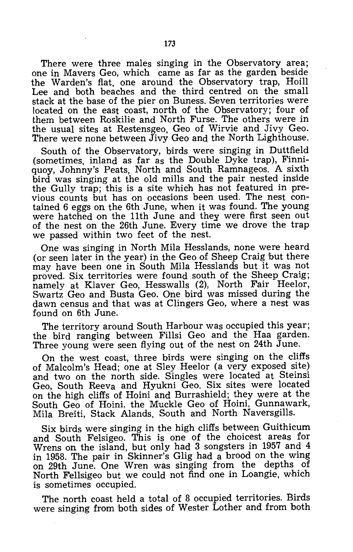There were three males singing in the Observatory area; one in Mavers Geo, which came as far as the garden beside the Warden's flat, one around the Observatory trap, Hoill Lee and both beaches and the third centred on the small stack at the base of the pier on Buness. Seven territories were located on the east coast, north of the Observatory; four of them between Roskilie and North Furse. The others were in the usual sites at Restensgeo, Geo of Wirvie and Jivy Geo. There were none between Jivy Geo and the North Lighthouse.

South of the Observatory, birds were singing in Duttfield (sometimes, inland as far as the Double Dyke trap), Finniquoy, Johnny's Peats, North and South Ramnageos. A sixth bird was singing at the old mills and the pair nested inside the Gully trap; this is a site which has not featured in previous counts but has on occasions been used. The nest contained 6 eggs on the 6th June, when it was found. The young were hatched on the 11th June and thev were first seen out of the nest on the 26th June. Every time we drove the trap we passed within two feet of the nest.

One was singing in North Mila Hesslands, none were heard (or seen later in the year) in the Geo of Sheep Craig 'but there may have been one in South Mila Hesslands but it was not proved. Six territories were found south of the Sheep Craig; namely at Klaver Geo, Hesswalls (2), North Fair Heelor, Swartz Geo and Busta Geo. One bird was missed during the dawn census and that was at Clingers Geo, where a nest was found on 6th June.

The territory around South Harbour was occupied this year; the bird ranging between Fillsi Geo and the Haa garden. Three young were seen flying out of the nest on 24th June.

On the west coast, three birds were singing on the cliffs of Malcolm's Head; one at Sley Heelor (a very exposed site) and two on the north side. Singles were located at Steinsi Geo, South Reeva and Hyukni Geo. Six sites were located on the high cliffs of Hoini and Burrashield; they were at the South Geo of Hoini, the Muckle Geo of Hoini, Gunnawark, Mila Breiti, Stack Alands, South and North Naversgills.

Six birds were singing in the high cliffs between Guithicum and South Felsigeo. This is one of the choicest areas for Wrens on the island, but only had 3 songsters in 1957 and 4 in 1958. The pair in Skinner's Glig had a brood on the wing on 29th June. One Wren was singing from the depths of North Fellsigeo but we could not find one in Loangie, which is sometimes occupied.

The north coast held a total of 8 occupied territories. Birds were singing from both sides of Wester Lother and from both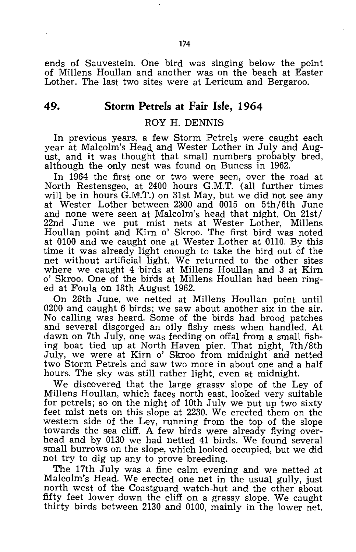ends of Sauvestein. One bird was singing below the point of Millens Houllan and another was on the beach at Easter Lother. The last two sites were at Lericum and Bergaroo.

#### **49. Storm Petrels at Fair Isle, 1964**

#### ROY H. DENNIS

In previous years, a few Storm Petrels were caught each year at Malcolm's Head and Wester Lother in July and August, and it was thought that small numbers probably bred, although the only nest was found On Buness in 1962.

In 1964 the first one or two were seen, over the road at North Restensgeo, at 2400 hours G.M.T. (all further times will be in hours G.M.T.) on 31st May, but we did not see any at Wester Lother between 2300 and 0015 on 5th/6th June and none were seen at Malcolm's head that night. On 21st/ 22nd June we put mist nets at Wester Lother, Millens Houllan point and Kirn 0' Skroo. The first bird was noted at 0100 and we caught one at Wester Lother at 0110. By this time it was already light enough to take the bird out of the net without artificial light. We returned to the other sites where we caught 4 birds at Millens Houllan and 3 at Kirn 0' Skroo. One of the birds at Millens Houllan had been ringed at Foula on 18th August 1962.

On 26th June, we netted at Millens Houllan point until 0200 and caught 6 birds; we saw about another six in the air. No calling was heard. Some of the birds had brood patches and several disgorged an oily fishy mess when handled. At dawn on 7th July, one was feeding on offal from a small fishing boat tied up at North Haven pier. That night, 7th/8th July, we were at Kirn 0' Skroo from midnight and netted two Storm Petrels and saw two more in about one and a half hours. The sky was still rather light, even at midnight.

We discovered that the large grassy slope of the Ley of Millens Houllan, which faces north east, looked very suitable for petrels; so on the night of 10th July we put up two sixty feet mist nets on this slope at 2230. We erected them on the western side of the Ley, running from the top of the slope towards the sea cliff. A few birds were already flying overhead and by 0130 we had netted 41 birds. We found several small burrows on the slope, which looked occupied, but we did not try to dig up any to prove breeding.

The 17th July was a fine calm evening and we netted at Malcolm's Head. We erected one net in the usual gully, just north west of the Coastguard watch-hut and the other about fifty feet lower down the cliff on a grassy slope. We caught thirty birds between 2130 and 0100, mainly in the lower net.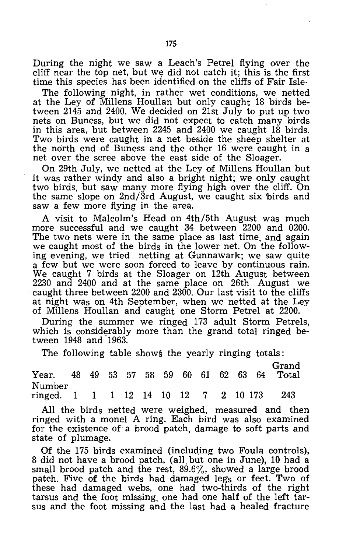During the night we saw a Leach's Petrel flying over the cliff near the top net, but we did not catch it; this is the first time this species has been identified on the cliffs of Fair Isle-

The following night, in rather wet conditions, we netted at the Ley of Millens Houllan 'but only caught 18 birds between 2145 and 2400. We decided on 21st July to put up two nets on Buness, but we did not expect to catch many birds in this area, but between 2245 and 2400 we caught 18 birds. Two birds were caught in a net beside the sheep shelter at the north end of Buness and the other 16 were caught in a net over the scree above the east side of the Sloager.

On 29th July, we netted at the Ley of MilIens Houllan but it was rather windy and also a bright night; we only caught two birds, but saw many more flying high over the cliff. On the same slope on *2nd/3rd* August, we caught six 'birds and saw a few more flying in the area.

A visit to Malcolm's Head on 4th/5th August was much more successful and we caught 34 between 2200 and 0200. The two nets were in the same place as last time, and again we caught most of the birds in the lower net. On the following evening, we tried netting at Gunnawark; we saw quite a few but we were soon forced to leave by continuous rain. We caught 7 birds at the Sloager on 12th August between 2230 and 2400 and at the same place on 26th August we caught three between 2200 and 2300. Our last visit to the cliffs at night was on 4th September, when we netted at the Ley of Millens Houllan and caught one Storm Petrel at 2200.

During the summer we ringed 173 adult Storm Petrels, which is considerably more than the grand total ringed between 1948 and 1963.

The following table shows the yearly ringing totals:

| Year. 48 49 53 57 58 59 60 61 62 63 64 Total     |  |  |  |  |  | Grand |
|--------------------------------------------------|--|--|--|--|--|-------|
| Number<br>ringed. 1 1 1 1 12 14 10 12 7 2 10 173 |  |  |  |  |  | 243   |

All the birds netted were weighed, measured and then ringed with a monel A ring. Each bird was also examined for the existence of a brood patch, damage to soft parts and state of plumage.

Of the 175 birds examined (including two Foula controls), 8 did not have a brood patch, (all but one in June), 10 had a small brood patch and the rest,  $89.6\%$ , showed a large brood patch. Five of the birds had damaged legs or feet. Two of these had damaged webs, one had two-thirds of the right tarsus and the foot missing, one had one half of the left tarsus and the foot missing and the last had a healed fracture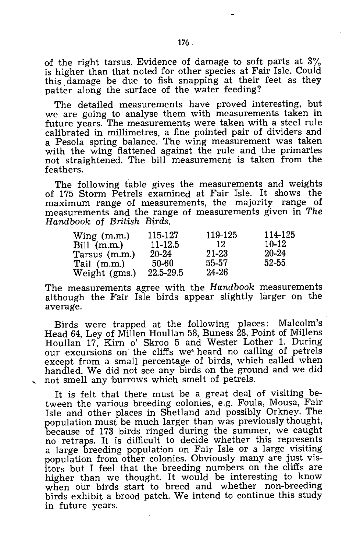of the right tarsus. Evidence of damage to soft parts at 3% is higher than that noted for other species at Fair Isle. Could this. damage be due to fish snapping at their feet as they patter along the surface of the water feeding?

The detailed measurements have proved interesting, but we are going to analyse them with measurements taken in future years. The measurements were taken with a steel rule calibrated in millimetres. a fine pointed pair of dividers and a Pesola spring balance. The wing measurement was taken with the wing flattened against the rule and the primaries not straightened. The bill measurement is taken from the feathers.

The following table gives the measurements and weights of 175 Storm Petrels examined at Fair Isle. It shows the maximum range of measurements, the majority range of measurements and the range of measurements given in *The Handbook* of *British Birds.* 

| $Wing$ (m.m.) | 115-127     | 119-125 | 114-125   |
|---------------|-------------|---------|-----------|
| Bill (m.m.)   | $11 - 12.5$ | 12      | 10-12     |
| Tarsus (m.m.) | 20-24       | 21-23   | 20-24     |
| Tail (m.m.)   | 50-60       | 55-57   | $52 - 55$ |
| Weight (gms.) | 22.5-29.5   | 24-26   |           |

The measurements agree with the *Handbook* measurements although the Fair Isle birds appear slightly larger on the average.

Birds were trapped at the following places: Malcolm's Head 64, Ley of Millen Houllan 58, Buness 28, Point of Millens Houllan 17, Kirn 0' Skroo 5 and Wester Lother 1. During our excursions on the cliffs we· heard no calling of petrels except from a small percentage of birds, which called when handled. We did not see any birds on the ground and we did not smell any burrows which smelt of petrels.

It is felt that there must be a great deal of visiting between the various breeding colonies, e.g. Foula, Mousa, Fair Isle and other places in Shetland and possibly Orkney. The population must be much larger than was previously thought, because of 173 birds ringed during the summer, we caught no retraps. It is difficult to decide whether this represents a large breeding population on Fair Isle or a large visiting population from other colonies. Obviously many are just visitors but I feel that the breeding numbers on the cliffs are higher than we thought. It would be interesting to know when our birds start to breed and whether non-breeding birds exhibit a brood patch. We intend to continue this study in future years.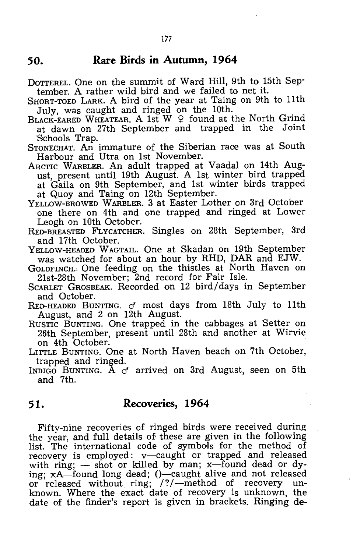#### **50. Rare Birds in Autumn, 1964**

DOTTEREL. One on the summit of Ward Hill, 9th to 15th September. A rather wild bird and we failed to net it.

SHORT-TOED LARK. A bird of the year at Taing on 9th to 11th July, was caught and ringed on the 10th.

BLACK-EARED WHEATEAR. A 1st W  $\varphi$  found at the North Grind at dawn on 27th September and trapped in the Joint Schools Trap.

STONECHAT. An immature of the Siberian race was at South Harbour and Utra on 1st November.

- ARCTIC WARBLER. An adult trapped at Vaadal on 14th August, present until 19th August. A 1st winter bird trapped at Gaila on 9th September, and 1st winter birds trapped at Quoy and Taing on 12th September.
- YELLOW-BROWED WARBLER. 3 at Easter Lother on 3rd October one there on 4th and one trapped and ringed at Lower Leogh On 10th October.
- RED-BREASTED FLYCATCHER. Singles on 28th September, 3rd and 17th October.
- YELLOW-HEADED WAGTAIL. One at Skadan on 19th September was watched for about an hour by RHD, DAR and EJW.

GOLDFINCH. One feeding on the thistles at North Haven on 21st-28th November; 2nd record for Fair Isle.

SCARLET GROSBEAK. Recorded on 12 bird/ days in September and October.

RED-HEADED BUNTING. *d* most days from 18th July to 11th August, and 2 on 12th August.

- RUSTIC BUNTING. One trapped in the cabbages at Setter on 26th September, present until 28th and another at Wirvie on 4th October. on 4th October.
- LITTLE BUNTING. One at North Haven beach on 7th October, trapped and ringed.
- INDIGO BUNTING. A *d* arrived on 3rd August, seen on 5th and 7th.

## **51. Recoveries, 1964**

Fifty-nine recoveries of ringed birds were received during the year, and full details of these are given in the following list. The international code of symbols for the method of recovery is employed: v-caught or trapped and released with ring;  $-$  shot or killed by man; x-found dead or dying;  $xA$ -found long dead;  $()$ -caught alive and not released or released without ring; /?/-method of recovery unknown. Where the exact date of recovery is unknown, the date of the finder's report is given in brackets. Ringing de-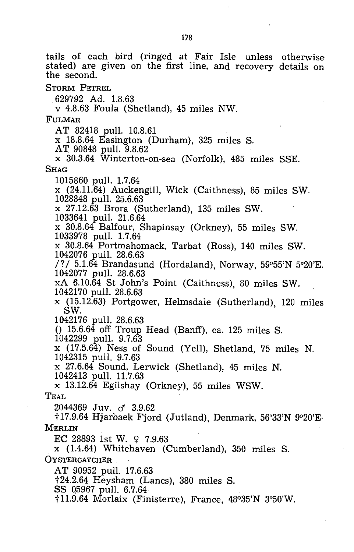tails of each bird (ringed at Fair Isle unless otherwise stated) are given on the first line, and recovery details on the second. STORM PETREL 629792 Ad. 1.8.63 v 4.8.63 Foula (Shetland), 45 miles NW. FULMAR AT 82418 pull. 10.8.61 x 18.8.64 Easington (Durham), 325 miles S. AT 90848 pull. 9.8.62 x 30.3.64 Winterton-on-sea (Norfolk), 485 miles SSE. **SHAG** 1015860 pull. 1.7.64 x (24.11.64) Auckengill, Wick (Caithness), 85 miles SW. 1028848 pull. 25.6.63 x 27.12.63 Brora (Sutherland), 135 miles SW. 1033641 pull. 21.6.64 x 30.8.64 Balfour, Shapinsay (Orkney), 55 miles SW. 1033978 pull. 1.7.64 x 30.8.64 Portmahomack, Tarbat (Ross), 140 miles SW. 1042076 pull. 28.6.63 /?/  $5.1.\overline{64}$  Brandasund (Hordaland), Norway,  $59^{\circ}55'N$  5°20'E. 1042077 pull. 28.6.63 xA 6.10.64 5t John's Point (Caithness), 80 miles SW. 1042170 pull. 28.6.63  $x$  (15.12.63) Portgower, Helmsdale (Sutherland), 120 miles SW.  $SW.$ 1042176 pull. 28.6.63 ()  $15.6.64$  off Troup Head (Banff), ca. 125 miles S. 1042299 pull. 9.7.63 x (17.5.64) Ness of Sound (Yell), Shetland, 75 miles N. 1042315 pull. 9.7.63 x 27.6.64 Sound, Lerwick (Shetland), 45 miles N. 1042413 pull. 11.7.63 x 13.12.64 Egilshay (Orkney), 55 miles WSW. TEAL 2044369 Juv. cf *3.9.62*  t17.9.64 Hjarbaek Fjord (Jutland), Denmark, 56°33'N 9°20'E· MERLIN EC 28893 1st W.  $9.7.963$ x (1.4.64) Whitehaven (Cum'berland), 350 miles S. **OYSTERCATCHER** AT 90952 pull. 17.6.63 t24.2.64 Heysham (Lanes), 380 miles S. SS 05967 pull. 6.7.64 t11.9.64 Morlaix (Finisterre), France, 48°35'N 3°50'W.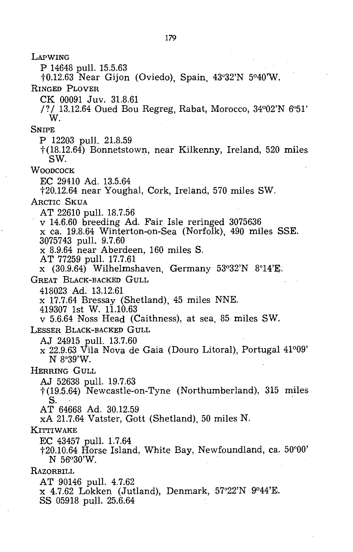LAPWING P 14648 pull. 15.5.63 to.12.63 Near Gijon (Oviedo), Spain, 43°32'N 5°40'W. RINGED PLOVER CK 00091 Juv. 31.8.61 /? / 13.12.64 Oued Bou Regreg, Rabat, Morocco, 34°02'N 6"51' W. SNIPE P 12203 pull. 21.8.59 t(18.12.64) Bonnetstown, near Kilkenny, Ireland, 520 miles SW. WOODCOCK EC 29410 Ad. 13.5.64 t20.12.64 near Youghal, Cork, Ireland, 570 miles SW. ARCTIC SKUA AT 22610 pull. 18.7.56 <sup>V</sup>14.6.60 breeding Ad. Fair Isle reringed 3075636 x ca. 19.8.64 Winterton-on-Sea (Norfolk), 490 miles SSE. 3075743 pull. 9.7.60 x 8.9.64 near Aberdeen, 160 miles S. AT 77259 pull. 17.7.61  $x$  (30.9.64) Wilhelmshaven, Germany 53°32'N 8°14'E. GREAT BLACK-BACKED GULL 418023 Ad. 13.12.61 x 17.7.64 Bressay (Shetland), 45 miles NNE. 419307 1st W. 11.10.63 v 5.6.64 Noss Head (Caithness), at sea, 85 miles SW. LESSER BLACK-BACKEP GULL AJ 24915 pull. 13.7.60 x 22.9.63 Vila Nova de Gaia (Douro Litoral), Portugal 41°09' N 8°39'W. HERRING GULL AJ 52638 pull. 19.7.63 t (19.5.64) Newcastle-on-Tyne (Northumberland), 315 miles S. AT 64668 Ad. 30.12.59 xA 21.7.64 Vatster, Gott (Shetland), 50 miles N. KITTIWAKE EC 43457 pull. 1.7.64 t20.10.64 Horse Island, White Bay, Newfoundland, ca. 50°00' N 56°30'W. RAZORBILL AT 90146 pull. 4.7.62 x 4.7.62 Lokken (Jutland), Denmark, 57°22'N 9°44'E. SS 05918 pull. 25.6.64

179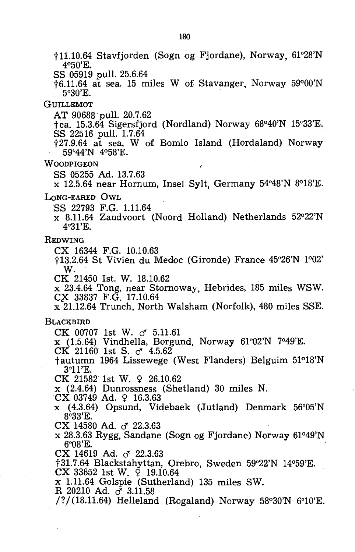tl1.10.64 Stavfjorden (Sogn og Fjordane), Norway, 61°28'N 4°50'E. SS 05919 pull. 25.6.64 t6.11.64 at sea. 15 miles W of Stavanger, Norway 59°00'N 5°30'E. . **GUILLEMOT** AT 90688 pull. 20.7.62 tea. 15.3.64 Sigersfjord (Nordland) Norway 68°40'N 15°33'E. SS 22516 pull. 1.7.64 t27.9.64 at sea, W of Bomlo Island (Hordaland) Norway 59°44'N 4°58'E. **WOODPIGEON** SS 05255 Ad. 13.7.63 x 12.5.64 near Hornum, Insel Sylt, Germany 54°48'N 8°18'E. LONG-EARED OWL SS 22793 F.G. 1.11.64 x 8.11.64 Zandvoort (Noord Holland) Netherlands 52°22'N 4°31'E. REDWING CX 16344 F.G. 10.10.63 t13.2.64 St Vivien du Medoc (Gironde) France 45°26'N 1°02' W. CK 21450 1st. W. 18.10.62 x 23.4.64 Tong, near Stornoway, Hebrides, 185 miles WSW. *ex* 33837 F.G. 17.10.64 x 21.12.64 Trunch, North Walsham (Norfolk), 480 miles SSE. **BLACKBIRD** CK 00707 1st W. d' 5.11.61 x (1.5.64) Vindhella, Borgund, Norway 61°02'N 7°49'E. CK 21160 1st S.  $\sigma$  4.5.62 tautumn 1964 Lissewege (West Flanders) Belguim 51°18'N 3°11'E. CK 21582 1st W. 9 26.10.62 x (2.4.64) Dunrossness (Shetland) 30 miles N.  $CX$  03749 Ad.  $9$  16.3.63 x (4.3.64) Opsund, Videbaek (Jutland) Denmark 56°05'N 8°33'E.  $CX$  14580 Ad.  $\sigma$  22.3.63 x 28.3.63 Rygg, Sandane (Sogn og Fjordane) Norway 61°49'N 6°08'E. CX 14619 Ad.  $\sigma$  22.3.63 t31.7.64 Blackstahyttan, Orebro, Sweden 59°22'N 14°59'E.  $CX$  33852 1st W.  $\varphi$  19.10.64 x 1.11.64 Golspie (Sutherland) 135 miles SW. R 20210 Ad. *cJ 3.11.58*  /?/ (18.11.64) Helleland (Rogaland) Norway 58°30'N 6°10'E.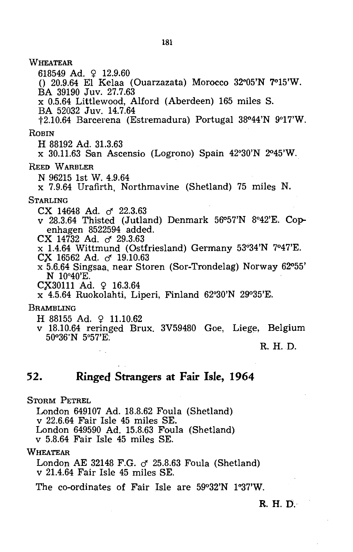**WHEATEAR** 618549 Ad. 9 12.9.60  $($ ) 20.9.64 El Kelaa<sup>(Ouarzazata)</sup> Morocco 32°05'N 7°15'W. BA 39190 Juv. 27.7.63 x 0.5.64 Littlewood, Alford (Aberdeen) 165 miles S. BA 52032 Juv. 14.7.64 t2.10.64 Barcerena (Estremadura) Portugal 38°44'N 9°17'W. **ROBIN** H 88192 Ad. 31.3.63 x 30.11.63 San Ascensio (Logrono) Spain 42°30'N 2045'W. REED WARBLER N 96215 1st W. 4.9.64 x 7.9.64 Urafirth, Northmavine (Shetland) 75 miles N. STARLING CX 14648 Ad. & 22.3.63 v 28.3.64 Thisted (Jutland) Denmark  $56°57'N$  8°42'E. Copenhagen 8522594 added.  $CX$  14732 Ad.  $\sigma$  29.3.63 x 1.4.64 Wittmund (Ostfriesland) Germany 53"34'N 7°47'E. *ex* 16562 Ad. d' 19.10.63 x 5.6.64 Singsaa, near Storen (Sor-Trondelag) Norway 62°55' N 10°40'E.  $CX30111$  Ad.  $9$  16.3.64 x 4.5.64 Ruokolahti, Liperi, Finland 62°30'N 2go35'E. BRAMBLING  $H$  88155 Ad.  $\Omega$  11.10.62 v 18.10.64 reringed Brux. 3V59480 Goe, Liege, Belgium 500 36'N 5°57'E: R. H. D.

### **52. Ringed Strangers at Fair Isle, 1964**

STORM PETREL

London 649107 Ad. 18.8.62 Foula (Shetland) v 22.6.64 Fair Isle 45 miles SE. London 649590 Ad. 15.8.63 Foula (Shetland) v 5.8.64 Fair Isle 45 miles SE.

WHEATEAR

London AE 32148 F.G.  $\sigma$  25.8.63 Foula (Shetland) v 21.4.64 Fair Isle 45 miles SE.

The co-ordinates of Fair Isle are 59°32'N 1°37'W.

#### R. H. D.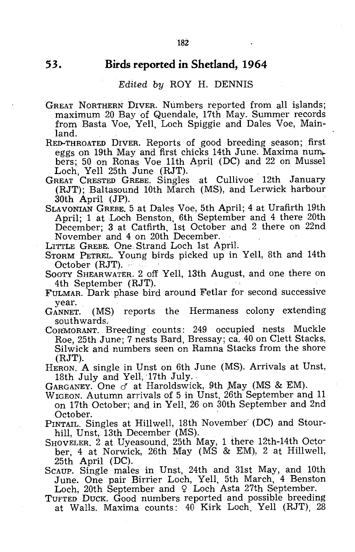## **53. Birds reported in Shetland, 1964**

#### *Edited by* ROY H. DENNIS

GREAT NORTHERN DIVER. Numbers reported from all islands; maximum 20 Bay of Quendale, 17th May. Summer records from Basta Voe, Yell, Loch Spiggie and Dales Voe, Mainland.

RED-THROATED DIVER. Reports of good breeding season; first bers; 50 on Ronas Voe 11th April (DC) and 22 on Mussel Loch, Yell 25th June (RJT).

GREAT CRESTED GREBE. Singles at Cullivoe 12th January (RJT); Baltasound 10th March (MS), and Lerwick harbour 30th April (JP).

SLAVONIAN GREBE. 5 at Dales Voe, 5th April; 4 at Urafirth 19th April; 1 at Loch Benston, 6th September and 4 there 20th December; 3 at Catfirth, 1st October and 2 there on 22nd November and 4 on 20th December.

L:ITTLE GREBK One. Strand Loch 1st April.

STORM PETREL. Young birds picked up in Yell, 8th and 14th October (RJT).

SOOTY SHEARWATER. 2 off Yell, 13th August, and one there on 4th September (RJT).

FULMAR. Dark phase bird around Fetlar for second successive year.

GANNET. (MS) reports the Hermaness colony extending southwards.

CORMORANT. Breeding' counts: 249 occupied nests Muckle Roe, 25th June; 7 nests Bard, Bressay; ca. 40 on Clett Stacks, Silwick and numbers seen on Ramna Stacks from the shore (RJT).

HERON. A single in Unst on 6th June (MS). Arrivals at Unst, 18th July and Yell, 17th July.·

GARGANEY. One *cf* at Haroldswick, 9th May (MS & EM).

WIGEON. Autumn arrivals of 5 in Unst, 26th September and 11 on 17th October; and in Yell, 26 on 30th September and 2nd October.

PINTAIL. Singles at Hillwell, 18th November' (DC) and Stourhill, Unst, 13th December (MS).

- SHOVELER. 2 at Uyeasound, 25th May, 1 there 12th-14th October, 4 at Norwick, 26th May (MS & EM), 2 at Hillwell, 25th April (DC).
- SCAUP. Single males in Unst, 24th and 31st May, and 10th June. One pair Birrier Loch, Yell, 5th March, 4 Benston

Loch, 20th September and  $\varphi$  Loch Asta 27th September.

TUFTED DUCK. Good numbers reported and possible breeding at Walls. Maxima counts: 40 Kirk Loch, Yell (RJT), 28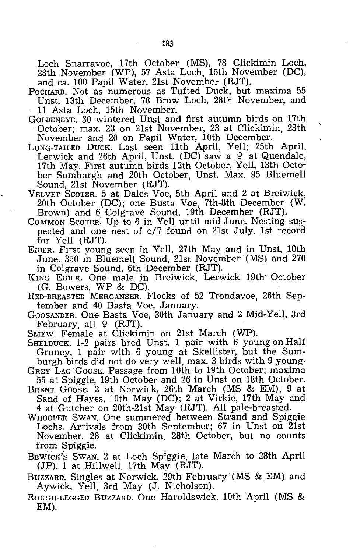Loch Snarravoe, 17th October (MS), 78 Clickimin Loch, 28th November (WP), 57 Asta Loch, 15th November (DC), and ca. 100 Papil Water, 21st November (RJT).

- POCHARD. Not as numerous as Tufted Duck, but maxima 55 Unst, 13th December, 78 Brow Loch, 28th November, and 11 Asta Loch, 15th November.
- GoLDENEYE. 30 wintered Unst and first autumn birds on 17th . October; max. 23 on 21st November, 23 at Clickimin, 28th November and 20 on Papil Water, 10th December.
- LONG-TAILED DUCK. Last seen 11th April, Yell; 25th April, Lerwick and 26th April, Unst. (DC) saw a  $9$  at Quendale, 17th May. First autumn birds 12th October, Yell, 13th October Sumburgh and 20th October, Unst. Max. 95 Bluemell Sound, 21st November (RJT).
- VELVET SCOTER. 5 at Dales Voe, 5th April and 2 at Breiwick, 20th October (DC); one Busta Voe, 7th-8th December (W. Brown) and 6 Colgrave Sound, 19th December (RJT).
- COMMON SCOTER. Up to 6 in Yell until mid-June. Nesting suspected and one nest of c/7 found on 21st July. 1st record for Yell (RJT).
- EIDER. First young seen in Yell, 27th May and in Unst, 10th June. 350 in Bluemell Sound, 21st November (MS) and 270 in Colgrave Sound, 6th December (RJT).
- KING EIDER. One male jn Breiwick, Lerwick 19th October
- RED-BREASTED MERGANSER. Flocks of 52 Trondavoe, 26th September and 40 Basta Voe, January.
- GOOSANDER. One Basta Voe, 30th January and 2 Mid-Yell, 3rd February, all  $\varphi$  (RJT).
- SMEW. Female at Clickimin on 21st March (WP).
- SHELDUCK. 1-2 pairs bred Unst, 1 pair with 6 young on Half Gruney, 1 pair with 6 young at Skellister, but the Sumburgh birds did not do very well, max. 3 birds with 9 young·
- GREY LAG GoOSE. Passage from 10th to 19th October; maxima
- 55 at Spiggie, 19th October and 26 in Unst on 18th October. BRENT GOOSE. 2 at Norwick, 26th March (MS & EM); 9 at Sand of Hayes, 10th May (DC); 2 at Virkie, 17th May and
	- 4 at Gutcher on 20th-21st May (RJT). All pale-breasted.
- WHOOPER SWAN. One summered between Strand and Spiggie Lochs. Arrivals from 30th September; 67 in Unst on 21st November, 28 at Clickimin. 28th October, but no counts from Spiggie.
- BEWICK'S SWAN. 2 at Loch Spiggie, late March to 28th April (JP). 1 at Hillwell, 17th May (RJT).
- BUZZARD. Singles at Norwick, 29th February' (MS & EM) and Aywick, Yell, 3rd May (J. Nicholson).
- ROUGH-LEGGED BUZZARD. One Haroldswick, 10th April (MS & EM).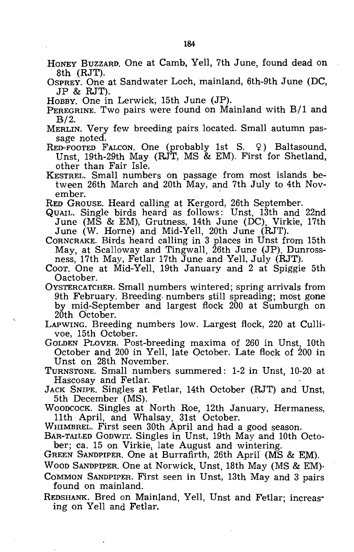- HONEY BUZZARD. One at Camb, Yell, 7th June, found dead on 8th (RJT).
- OSPREY. One at Sandwater Loch, mainland, 6th-9th June (DC, JP & RJT).
- HOBBY. One in Lerwick; 15th June (JP).
- PEREGRINE. Two pairs were found on Mainland with B/l and B/2.
- MERLIN. Very few breeding pairs located. Small autumn passage noted.
- RED-FOOTED FALCON. One (probably 1st S.  $9$ ) Baltasound, Unst, 19th-29th May (RJT, MS & EM). First for Shetland, other than Fair Isle.
- KESTREL. Small numbers on passage from most islands between 26th March and 20th May, and 7th July to 4th November.
- RED GROUSE. Heard calling at Kergord, 26th September.
- QUAIL. Single birds heard as follows: Unst, 13th and 22nd June (MS & EM), Grutness, 14th June (DC), Virkie, 17th June (W. Horne) and Mid-Yell, 20th June (RJT).
- CORNCRAKE. Birds heard calling in 3 places in Unst from 15th May, at Scalloway and Tingwall, 26th June (JP), Dunrossness, 17th May, Fetlar 17th June and Yell, July (RJT).
- Coor. One at Mid-Yell, 19th January and 2 at Spiggie 5th Oactober.
- OYSTERCATCHER. Small numbers wintered; spring arrivals from 9th February. Breeding. numbers still spreading; most gone by mid-September and largest flock 200 at Sumburgh on 20th October.
- LAPWING. Breeding numbers low. Largest flock, 220 at Cullivoe, 15th October.

GOLDEN PLOVER. Post-breeding maxima of 260 in Unst, 10th October and 200 in Yell, late October. Late flock of 200 in Unst on 28th November.

- TURNSTONE. Small numbers summered: 1-2 in Unst, 10-20 at Hascosay and Fetlar.
- JACK SNIPE. Singles at Fetlar, 14th October (RJT) and Unst, 5th December (MS).

WOODCOCK. Singles at North Roe, 12th January, Hermaness, 11th April, and Whalsay, 31st October.

- WHIMBREL. First seen 30th April and had a good season.
- BAR-TAILED GODWIT. Singles in Unst, 19th May and 10th October; ca. 15 on Virkie, late August and wintering.
- GREEN SANDPIPER. One at Burrafirth, 26th April (MS & EM).
- WOOD SANDPIPER. One at Norwick, Unst, 18th May (MS & EM)·
- COMMON SANDPIPER. First seen in Unst, 13th May and 3 pairs found on mainland.
- REDSHANK. Bred on Mainland, Yell, Unst and Fetlar; increasing on Yell and Fetlar.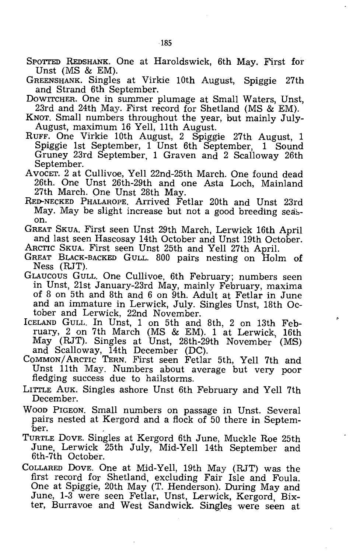- SPOTTED REDSHANK. One at Haroldswick, 6th May. First for Unst  $(MS \& EM)$ .
- GREENSHANK. Singles at Virkie 10th August, Spiggie 27th and Strand 6th September.
- DOWITCHER. One in summer plumage at Small Waters, Unst, 23rd and 24th May. First record for Shetland (MS & EM).
- KNOT. Small numbers throughout the year, but mainly July-August, maximum 16 Yell, 11th August.
- RUFF. One Virkie 10th August, 2 Spiggie 27th August, 1 Spiggie 1st September, 1 Unst 6th September, 1 Sound Gruney 23rd September, 1 Graven and 2 Scalloway 26th September.
- AvocET. 2 at Cullivoe, Yell 22nd-25th March. One found dead 26th. One Unst 26th-29th and one Asta Loch, Mainland 27th March. One Unst 28th May.
- RED-NECKED PHALAROPE. Arrived Fetlar 20th and Unst 23rd May. May be slight increase but not a good breeding season.
- GREAT SKUA. First seen Unst 29th March, Lerwick 16th April and last seen Hascosay 14th October and Unst 19th October. ARCTIC SKUA. First seen Unst 25th and Yell 27th April.
- GREAT BLACK-BACKED GULL. 800 pairs nesting on Holm of Ness (RJT).
- GLAUCOUS GULL. One Cullivoe, 6th February; numbers seen in Unst, 21st January-23rd May, mainly February, maxima of 8 on 5th and 8th and 6 on 9th. Adult at Fetlar in June and an immature in Lerwick, July. Singles Unst, 18th October and Lerwick, 22nd November.
- ICELAND GULL. In Unst, 1 on 5th and 8th, 2 on 13th February, 2 on 7th March (MS & EM). 1 at Lerwick, 16th May (RJT). Singles at Unst, 28th-29th November (MS) and Scalloway, 14th December (DC).
- COMMON/ ARCTIC TERN. First seen Fetlar 5th, Yell 7th and Unst 11th May. Numbers about average but very poor fledging success due to hailstorms.
- LITTLE AUK. Singles ashore Unst 6th February and Yell 7th December.
- WOOD PIGEON. Small numbers on passage in Unst. Several pairs nested at Kergord and a flock of 50 there in Septem-<br>ber.
- TURTLE DOVE. Singles at Kergord 6th June, Muckle Roe 25th June, Lerwick 25th July, Mid-Yell 14th September and 6th-7th October.
- COLLARED DOVE. One at Mid-Yell, 19th May (RJT) was the first record for Shetland, excluding Fair Isle and Foula. One at Spiggie, 20th May (T. Henderson). During May and June, 1-3 were seen Fetlar, Unst, Lerwick, Kergord, Bixter, Burravoe and West Sandwick. Singles were seen at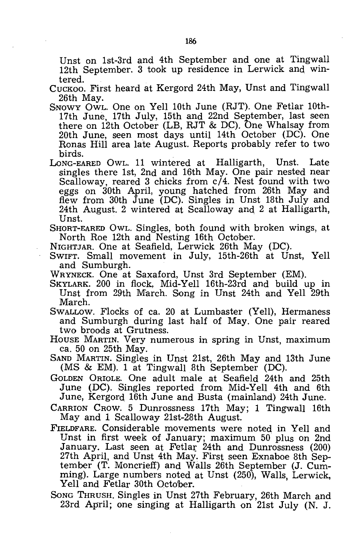Unst on 1st-3rd and 4th September and one at Tingwall 12th September. 3 took up residence in Lerwick and wintered.

- CUCKOO. First heard at Kergord 24th May, Unst and Tingwall 26th May.
- SNOWY OWL. One on Yell 10th June (RJT). One Fetlar 10th-17th June, 17th July, 15th and 22nd September, last seen there on 12th October (LB, RJT & DC). One Whalsay from 20th June, seen most days until 14th October (DC). One Ronas Hill area late August. Reports probably refer to two birds.
- LONG-EARED OWL. 11 wintered at Halligarth, Unst. Late singles there 1st, 2nd and 16th May. One pair nested near Scalloway, reared 3 chicks from c/4. Nest found with two eggs on 30th April, young hatched from 26th May and flew from 30th June (DC). Singles in Unst 18th July and 24th August. 2 wintered at Scalloway and 2 at Halligarth, Unst.
- SHORT-EARED OWL. Singles, both found with broken wings, at North Roe 12th and Nesting 16th October.
- NIGHTJAR. One at Seafield, Lerwick 26th May (DC).
- SWIFT. Small movement in July, 15th-26th at Unst, Yell and Sumburgh.
- WRYNECK. One at Saxaford, Unst 3rd September (EM).
- SKYLARK. 200 in flock, Mid-Yell 16th-23rd and build up in Unst from 29th March. Song in Unst 24th and Yell 29th March.
- SWALLOW. Flocks of ca. 20 at Lumbaster (Yell), Hermaness and Sumburgh during last half of May. One pair reared two broods at Grutness.
- HOUSE MARTIN. Very numerous in spring in Unst, maximum ca. 50 on 25th May.

SAND MARTIN. Singles in Unst 21st, 26th May and 13th June (MS & EM). 1 at Tingwall 8th September (DC).

GOLDEN ORIOLE. One adult male at Seafield 24th and 25th June (DC). Singles reported from Mid-Yell 4th and 6th June, Kergord 16th June and Busta (mainland) 24th June.

CARRION CROW. 5 Dunrossness 17th May; 1 Tingwall 16th May and 1 Scalloway 21st-28th August.

- FIELDFARE. Considerable movements were noted in Yell and Unst in first week of January; maximum 50 plus on 2nd January. Last seen at Fetlax: 24th and Dunrossness (200) 27th April, and Unst 4th May. First seen Exnaboe 8th September (T. Moncrieff) and Walls 26th September (J. Cumming). Large numbers noted at Unst (250), Walls, Lerwick, Yell and Fetlar 30th October.
- SONG THRUSH. Singles in Unst 27th February, 26th March and 23rd April; one singing at Halligarth on 21st July (N. J.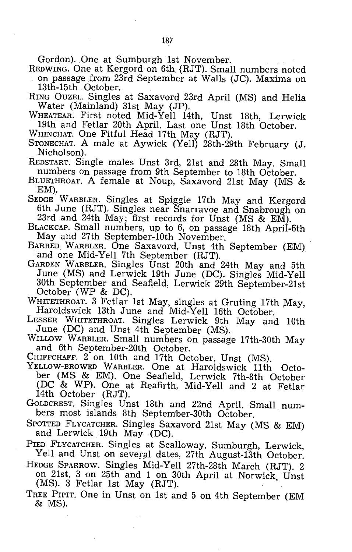Gordon). One at Sumburgh 1st November.

- REDWING. One at Kergord on 6th (RJT). Small numbers noted on passage from 23rd September at Walls (JC). Maxima on
- 13th-15th October. RING OUZEL. Singles at Saxavord 23rd April (MS) and Helia Water (Mainland) 31st May (JP).
- WHEATEAR. First noted Mid-Yell 14th, Unst 18th, Lerwick 19th and Fetlar 20th April. Last one Unst 18th October.
- WHINCHAT. One Fitful Head 17th May (RJT).
- STONECHAT. A male at Aywick (Yell) 28th-29th February (J. Nicholson).
- REDSTART. Single males Unst 3rd, 21st and 28th May. Small numbers on passage from 9th September to 18th October.
- BLUETHROAT. A female at Noup, Saxavord 21st May (MS & EM).
- SEDGE WARBLER. Singles at Spiggie 17th May and Kergord 6th June (RJT). Singles near Snarravoe and Snabrough on 23rd and 24th May; first records for Unst (MS & EM).
- BLACKCAP. Small numbers, up to 6, on passage 18th April-6th May and 27th September-10th November.
- BARRED WARBLER. One Saxavord, Unst 4th September (EM) and one Mid-Yell 7th September (RJT).
- GARDEN WARBLER. Singles Unst 20th and 24th May and 5th June (MS) and Lerwick 19th June (DC). Singles Mid-Yell 30th September and Seafield, Lerwick 29th September-21st October (WP & DC).
- WHITETHROAT. 3 Fetlar 1st May, singles at Gruting 17th May, Haroldswick 13th June and Mid-Yell 16th October.
- LESSER WHITETHROAT. Singles Lerwick 9th May and 10th June (DC) and Unst 4th September (MS).
- WILLOW WARBLER. Small numbers on passage 17th-30th May and 6th September-20th October.
- CHIFFCHAFF. 2 on 10th and 17th October, Unst (MS).
- YELLOW-BROWED WARBLER. One at Haroldswick 11th October (MS & EM). One Seafield, Lerwick 7th-8th October (DC & WP). One at Reafirth, Mid-Yell and 2 at Fetlar 14th October (RJT).
- GOLDCREST. Singles Unst 18th and 22nd April. Small numbers most islands 8th September-30th October.
- SPOTTED FLYCATCHER. Singles Saxavord 21st May (MS & EM) and Lerwick 19th May (DC).
- PIED FLYCATCHER. Singles at Scalloway, Sumburgh, Lerwick, Yell and Unst on several dates, 27th August-13th October.
- HEDGE SPARROW. Singles Mid-Yell 27th-28th March (RJT). 2 on 21st, 3 on 25th and 1 on 30th April at Norwick, Unst (MS). 3 Fetlar 1st May (RJT).
- TREE PIPIT. One in Unst on 1st and 5 on 4th September (EM & MS).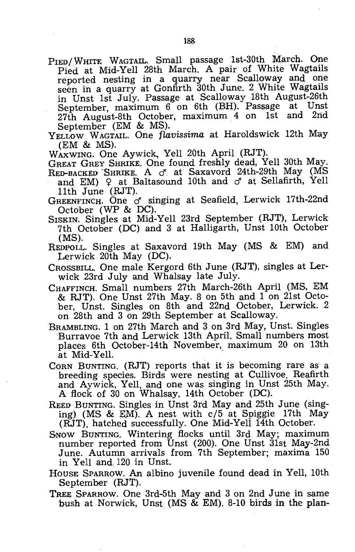PIED/WHITE WAGTAIL. Small passage 1st-30th March. One Pied at Mid-Yell 28th March. A pair of White Wagtails reported nesting in a quarry near Scalloway and one seen in a quarry at Gonfirth 30th June. 2 White Wagtails in Unst 1st July. Passage at Scalloway 18th August-26th September, maximum 6 on 6th (BH). Passage at Unst 37th August-8th October maximum 4 on 1st and 2nd 27th August-8th October, maximum 4 on 1st and September (EM & MS).

YELLOW WAGTAIL. One flavissima at Haroldswick 12th May (EM & MS).

WAXWING. One Aywick, Yell 20th April (RJT).

GREAT GREY SHRIKE. One found freshly dead, Yell 30th May. RED-BACKED SHRIKE. A  $\sigma$  at Saxavord 24th-29th May (MS

- and EM)  $\varphi$  at Baltasound 10th and  $\sigma$  at Sellafirth, Yell 11th June (RJT).
- GREENFINCH. One  $\sigma$  singing at Seafield, Lerwick 17th-22nd October (WP & DC).
- SISKIN. Singles at Mid-Yell 23rd September (RJT), Lerwick 7th October (DC) and 3 at Halligarth, Unst 10th October (MS).
- REDPOLL. Singles at Saxavord 19th May (MS & EM) and Lerwick 20th May (DC).
- CROSSBILL. One male Kergord 6th June (RJT), singles at Lerwick 23rd July and Whalsay late July.
- CHAFFINCH. Small numbers 27th March-26th April (MS, EM & RJT). One Unst 27th May. 8 on 5th and 1 on 21st October, Unst. Singles on 8th and 22nd October, Lerwick. 2 on 28th and 3 on 29th September at Scalloway.
- BRAMBLING. 1 on 27th March and 3 on 3rd May, Unst. Singles Burravoe 7th and Lerwick 13th April. Small numbers most places 6th October-14th November, maximum 20 on 13th at Mid-Yell.
- CORN BUNTING. (RJT) reports that it is becoming rare as a breeding species. Birds were nesting at Cullivoe, Reafirth and Aywick, Yell, and one was singing in Unst 25th May. A flock of 30 on Whalsay, 14th October (DC).
- REED BUNTING. Singles in Unst 3rd May and 25th June (singing) (MS & EM). A nest with  $c/5$  at Spiggie 17th May (RJT), hatched successfully. One Mid-Yell 14th October.
- SNOW BUNTING. Wintering flocks until 3rd May; maximum number reported from Unst  $(200)$ . One Unst  $31$ st May-2nd June. Autumn arrivals from 7th September; maxima 150 in Yell and 120 in Unst.
- HOUSE SPARROW. An albino juvenile found dead in Yell, 10th September (RJT).
- TREE SPARROW. One 3rd-5th May and 3 on 2nd June in same 'bush at Norwick, Unst (MS & EM). 8-10 birds in the plan-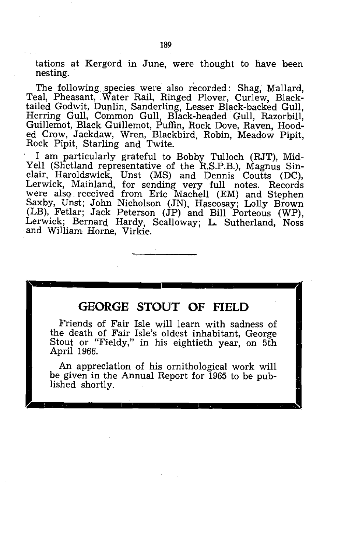tations at Kergord in June, were thought to have been nesting.

The following species were also recorded: Shag, Mallard, Teal, Pheasant, Water Rail, Ringed Plover, Curlew, Blacktailed Godwit, Duplin, Sanderling, Lesser Black-backed Gull, Herring Gull, Common Gull, Black-headed Gull, Razorbill, Guillemot, Black Guillemot, Puffin, Rock Dove, Raven, Hooded Crow, Jackdaw, Wren, Blackbird, Robin, Meadow Pipit, Rock Pipit, Starling and Twite.

I am particularly grateful to Bobby Tulloch (RJT), Mid-Yell (Shetland representative of the R.S.P.B.), Magnus Sinclair, Haroldswick, Unst (MS) and Dennis Coutts (DC), Lerwick, Mainland, for sending very full notes. Records were also received from Eric Machell (EM) and Stephen Saxby, Unst; John Nicholson (JN), Hascosay; Lolly Brown (LB), Fetlar; Jack Peterson (JP) and Bill Porteous (WP), Lerwick; Bernard Hardy, Scalloway; L. Sutherland, Noss and William Horne, Virkie.

## **GEORGE STOUT OF FIELD**

Friends of Fair Isle will learn with sadness of the death of Fair Isle's oldest inhabitant, George Stout or "Fieldy," in his eightieth year, on 5th April 1966.

An appreciation of his ornithological work will be given in the Annual Report for 1965 to be published shortly.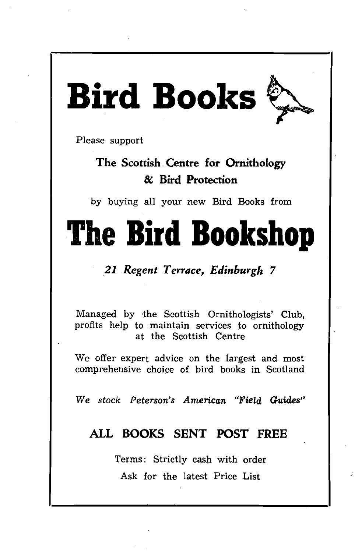# **Bird** Books~

Please support

## The Scottish Centre for Ornithology & Bird Protection

by buying all your new Bird Books from

# **The Bird Bookshop**

## *21 Regent Terrace, Edinburgh 7*

Managed by the Scottish Ornithologists' Club, profits help to maintain services to ornithology at the Scottish Centre

We offer expert advice on the largest and most comprehensive choice of bird 'books in Scotland

We *stock* Peterson's *American "Field Guides"* 

## ALL BOOKS SENT POST FREE

Terms: Strictly cash with order Ask for the latest Price List